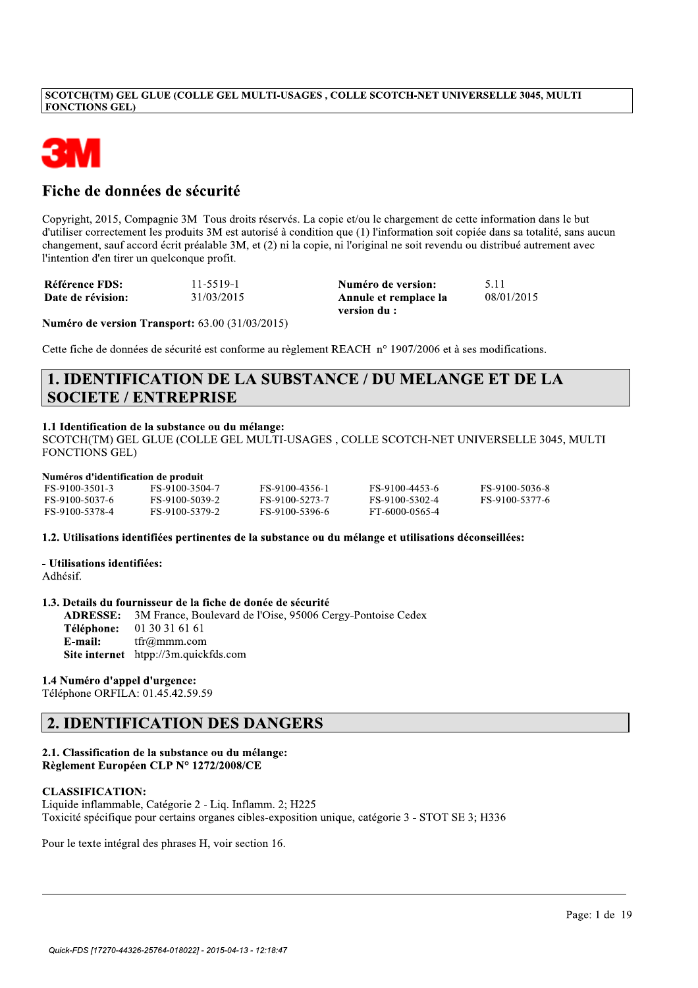# SCOTCH(TM) GEL GLUE (COLLE GEL MULTI-USAGES , COLLE SCOTCH-NET UNIVERSELLE 3045, MULTI<br>FONCTIONS GEL)<br>Fiche de données de sécurité



# Fiche de données de sécurité

Copyright, 2015, Compagnie 3M Tous droits réservés. La copie et/ou le chargement de cette information dans le but d'utiliser correctement les produits 3M est autorisé à condition que (1) l'information soit copiée dans sa totalité, sans aucun changement, sauf accord écrit préalable 3M, et (2) ni la copie, ni l'original ne soit revendu ou distribué autrement avec l'intention d'en tirer un quelconque profit. **Fiche de données de sécurité**<br>
Copyright, 2015, Compagnie 3M Tous droits réservés. La copie et/ou le chargement de cette information dans le but<br>
duiliser correctionnel les produits 2M est autonomic au (1) l'information

| FS-9100-3501-3 | FS-9100-3504-7 | FS-9100-4356-1 | FS-9100-4453-6 | FS-9100-5036-8 |
|----------------|----------------|----------------|----------------|----------------|
| FS-9100-5037-6 | FS-9100-5039-2 | FS-9100-5273-7 | FS-9100-5302-4 | FS-9100-5377-6 |
| FS-9100-5378-4 | FS-9100-5379-2 | FS-9100-5396-6 | FT-6000-0565-4 |                |

1.3. Details du fournisseur de la fiche de donée de sécurité<br>ADRESSE: 3M France, Boulevard de l'Oise, 95006 C

ADRESSE: 3M France, Boulevard de l'Oise, 95006 Cergy-Pontoise Cedex<br>Téléphone: 01 30 31 61 61 E-mail: tfr@mmm.com<br>Site internet htpp://3m.quickfds.com Adhésif.<br>
1.3. Details du fournisseur de la fiche de donée de sécurité<br>
ADRESSE: 3M France, Boulevard de l'Oise, 95006 Cergy-Pontoise Cedex<br>
Téléphone: 0130316161<br>
E-mail: trigammn.com<br>
Site internet http://3m.quickfds.com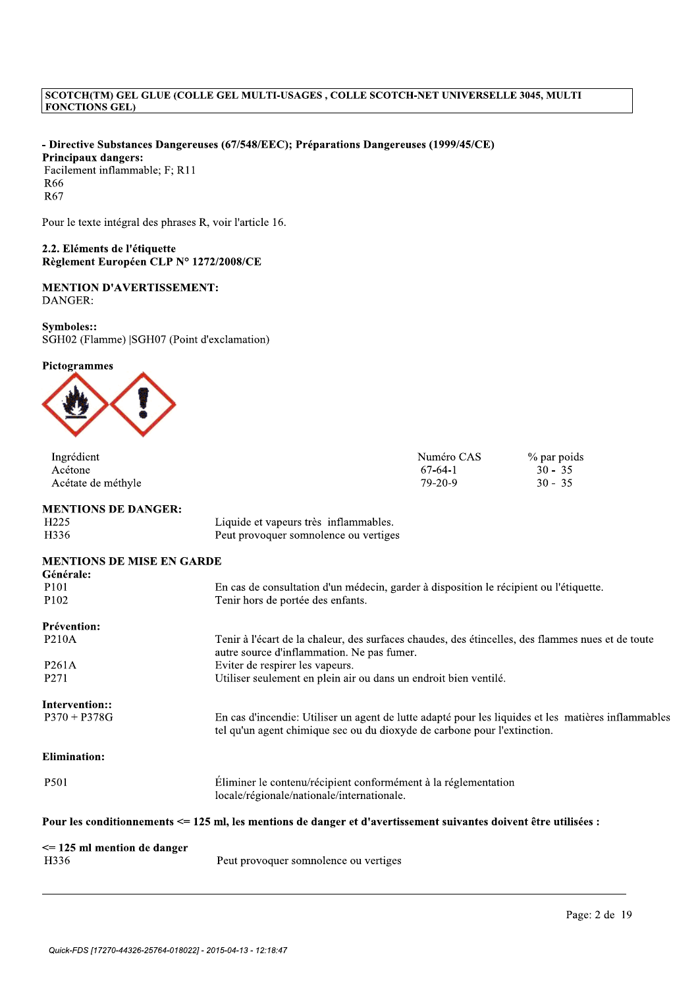- Directive Substances Dangereuses (67/548/EEC); Préparations Dangereuses (1999/45/CE) Principaux dangers: Facilement inflammable; F; R11 R66 R67

Pour le texte intégral des phrases R, voir l'article 16.

2.2. Eléments de l'étiquette Règlement Européen CLP N° 1272/2008/CE

# **MENTION D'AVERTISSEMENT:** DANGER:

Symboles:: SGH02 (Flamme) |SGH07 (Point d'exclamation)

# Pictogrammes



| Ingrédient                             |                                                                                                                                                 | Numéro CAS | % par poids                                                                                         |
|----------------------------------------|-------------------------------------------------------------------------------------------------------------------------------------------------|------------|-----------------------------------------------------------------------------------------------------|
| Acétone                                |                                                                                                                                                 | $67-64-1$  | $30 - 35$                                                                                           |
| Acétate de méthyle                     |                                                                                                                                                 | $79-20-9$  | $30 - 35$                                                                                           |
| <b>MENTIONS DE DANGER:</b>             |                                                                                                                                                 |            |                                                                                                     |
| H <sub>225</sub>                       | Liquide et vapeurs très inflammables.                                                                                                           |            |                                                                                                     |
| H336                                   | Peut provoquer somnolence ou vertiges                                                                                                           |            |                                                                                                     |
| <b>MENTIONS DE MISE EN GARDE</b>       |                                                                                                                                                 |            |                                                                                                     |
| Générale:                              |                                                                                                                                                 |            |                                                                                                     |
| P <sub>101</sub>                       | En cas de consultation d'un médecin, garder à disposition le récipient ou l'étiquette.                                                          |            |                                                                                                     |
| P <sub>102</sub>                       | Tenir hors de portée des enfants.                                                                                                               |            |                                                                                                     |
| Prévention:                            |                                                                                                                                                 |            |                                                                                                     |
| <b>P210A</b>                           | Tenir à l'écart de la chaleur, des surfaces chaudes, des étincelles, des flammes nues et de toute<br>autre source d'inflammation. Ne pas fumer. |            |                                                                                                     |
| P <sub>261</sub> A                     | Eviter de respirer les vapeurs.                                                                                                                 |            |                                                                                                     |
| P271                                   | Utiliser seulement en plein air ou dans un endroit bien ventilé.                                                                                |            |                                                                                                     |
| Intervention::                         |                                                                                                                                                 |            |                                                                                                     |
| $P370 + P378G$                         | tel qu'un agent chimique sec ou du dioxyde de carbone pour l'extinction.                                                                        |            | En cas d'incendie: Utiliser un agent de lutte adapté pour les liquides et les matières inflammables |
| <b>Elimination:</b>                    |                                                                                                                                                 |            |                                                                                                     |
| P501                                   | Éliminer le contenu/récipient conformément à la réglementation<br>locale/régionale/nationale/internationale.                                    |            |                                                                                                     |
|                                        | Pour les conditionnements <= 125 ml, les mentions de danger et d'avertissement suivantes doivent être utilisées :                               |            |                                                                                                     |
| $\le$ 125 ml mention de danger<br>H336 | Peut provoquer somnolence ou vertiges                                                                                                           |            |                                                                                                     |
|                                        |                                                                                                                                                 |            |                                                                                                     |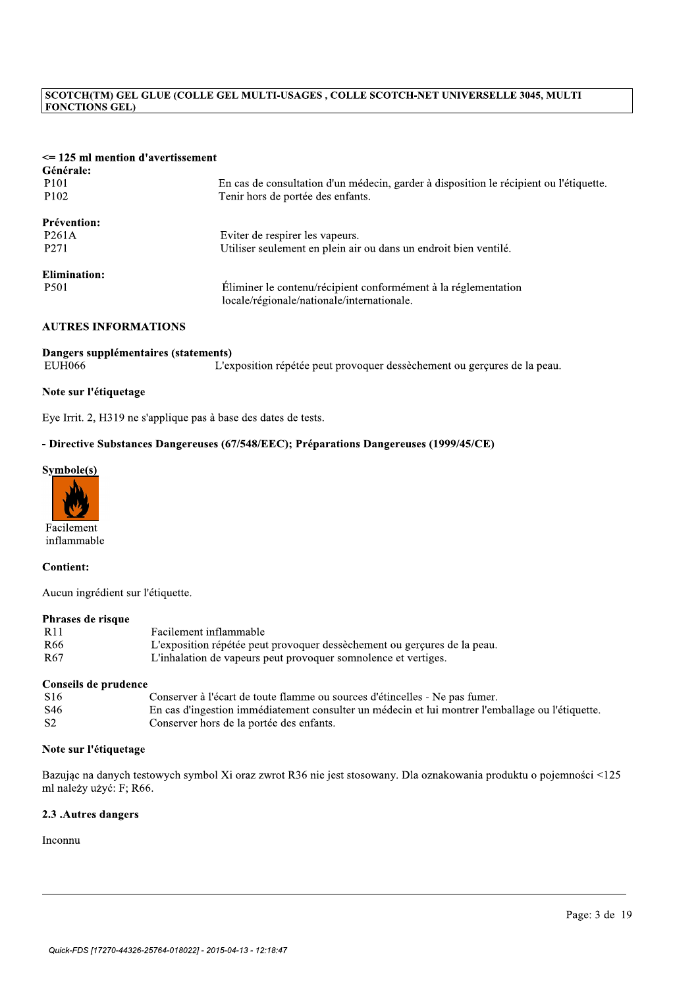| <b>FONCTIONS GEL)</b>                                 | SCOTCH(TM) GEL GLUE (COLLE GEL MULTI-USAGES, COLLE SCOTCH-NET UNIVERSELLE 3045, MULTI                                       |
|-------------------------------------------------------|-----------------------------------------------------------------------------------------------------------------------------|
| $\leq$ 125 ml mention d'avertissement<br>Générale:    |                                                                                                                             |
| P101<br>P102                                          | En cas de consultation d'un médecin, garder à disposition le récipient ou l'étiquette.<br>Tenir hors de portée des enfants. |
| Prévention:<br>P261A<br>P271                          | Eviter de respirer les vapeurs.<br>Utiliser seulement en plein air ou dans un endroit bien ventilé.                         |
| <b>Elimination:</b><br>P501                           | Éliminer le contenu/récipient conformément à la réglementation<br>locale/régionale/nationale/internationale.                |
| <b>AUTRES INFORMATIONS</b>                            |                                                                                                                             |
| Dangers supplémentaires (statements)<br><b>EUH066</b> | L'exposition répétée peut provoquer dessèchement ou gerçures de la peau.                                                    |
| Note sur l'étiquetage                                 |                                                                                                                             |
|                                                       | Eye Irrit. 2, H319 ne s'applique pas à base des dates de tests.                                                             |
|                                                       | - Directive Substances Dangereuses (67/548/EEC); Préparations Dangereuses (1999/45/CE)                                      |
| Symbole(s)                                            |                                                                                                                             |



inflammable

## Contient:

Aucun ingrédient sur l'étiquette.

## Phrases de risque

| -R <sub>11</sub> | Facilement inflammable                                                   |
|------------------|--------------------------------------------------------------------------|
| R66              | L'exposition répétée peut provoquer dessèchement ou gerçures de la peau. |
| R67              | L'inhalation de vapeurs peut provoquer somnolence et vertiges.           |

## Conseils de prudence

| R66                     | L'exposition répétée peut provoquer dessèchement ou gerçures de la peau.                                       |
|-------------------------|----------------------------------------------------------------------------------------------------------------|
| R <sub>67</sub>         | L'inhalation de vapeurs peut provoquer somnolence et vertiges.                                                 |
| Conseils de prudence    |                                                                                                                |
| S <sub>16</sub>         | Conserver à l'écart de toute flamme ou sources d'étincelles - Ne pas fumer.                                    |
| S46                     | En cas d'ingestion immédiatement consulter un médecin et lui montrer l'emballage ou l'étiquette.               |
| S <sub>2</sub>          | Conserver hors de la portée des enfants.                                                                       |
| ml należy użyć: F: R66. | Bazując na danych testowych symbol Xi oraz zwrot R36 nie jest stosowany. Dla oznakowania produktu o pojemności |
| 2.3 .Autres dangers     |                                                                                                                |
| Inconnu                 |                                                                                                                |
|                         |                                                                                                                |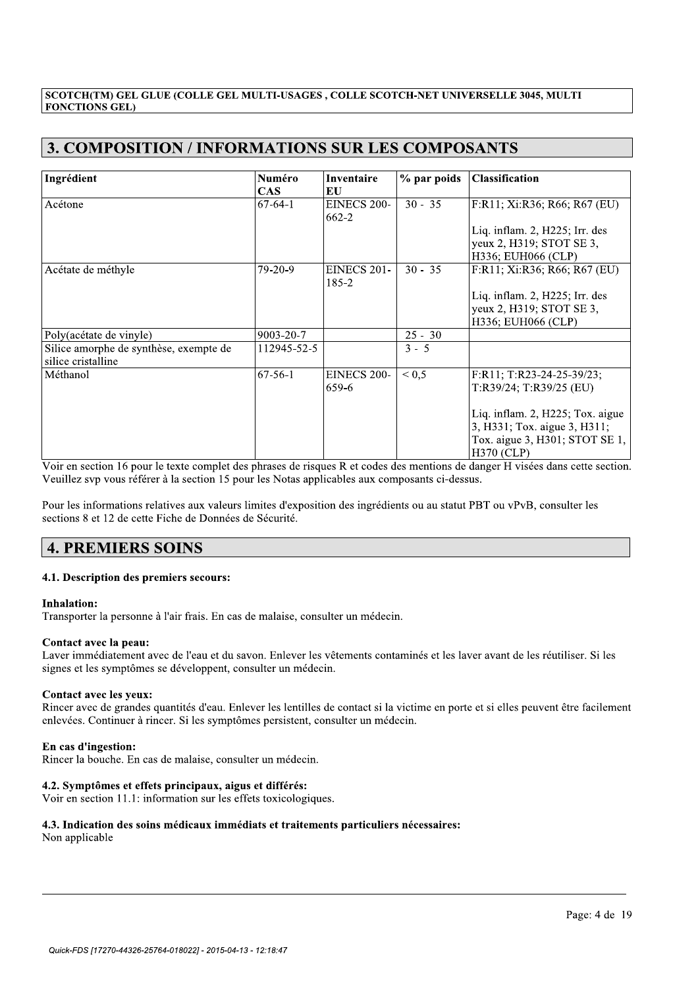| <b>3. COMPOSITION / INFORMATIONS SUR LES COMPOSANTS</b>                                                                                                                                                                                                                                                                                                      |                      |                             |             |                                                                                                                         |
|--------------------------------------------------------------------------------------------------------------------------------------------------------------------------------------------------------------------------------------------------------------------------------------------------------------------------------------------------------------|----------------------|-----------------------------|-------------|-------------------------------------------------------------------------------------------------------------------------|
| Ingrédient                                                                                                                                                                                                                                                                                                                                                   | Numéro<br><b>CAS</b> | Inventaire<br>EU            | % par poids | <b>Classification</b>                                                                                                   |
| Acétone                                                                                                                                                                                                                                                                                                                                                      | $67 - 64 - 1$        | <b>EINECS 200-</b><br>662-2 | $30 - 35$   | F:R11; Xi:R36; R66; R67 (EU)                                                                                            |
|                                                                                                                                                                                                                                                                                                                                                              |                      |                             |             | Liq. inflam. 2, H225; Irr. des<br>yeux 2, H319; STOT SE 3,<br>H336; EUH066 (CLP)                                        |
| Acétate de méthyle                                                                                                                                                                                                                                                                                                                                           | 79-20-9              | <b>EINECS 201-</b><br>185-2 | $30 - 35$   | F:R11; Xi:R36; R66; R67 (EU)                                                                                            |
|                                                                                                                                                                                                                                                                                                                                                              |                      |                             |             | Liq. inflam. 2, H225; Irr. des<br>yeux 2, H319; STOT SE 3,<br>H336; EUH066 (CLP)                                        |
| Poly(acétate de vinyle)                                                                                                                                                                                                                                                                                                                                      | 9003-20-7            |                             | $25 - 30$   |                                                                                                                         |
| Silice amorphe de synthèse, exempte de<br>silice cristalline                                                                                                                                                                                                                                                                                                 | 112945-52-5          |                             | $3 - 5$     |                                                                                                                         |
| Méthanol                                                                                                                                                                                                                                                                                                                                                     | $67 - 56 - 1$        | EINECS 200-<br>659-6        | ${}^{<}0,5$ | F:R11; T:R23-24-25-39/23;<br>T:R39/24; T:R39/25 (EU)                                                                    |
|                                                                                                                                                                                                                                                                                                                                                              |                      |                             |             | Liq. inflam. 2, H225; Tox. aigue<br>3, H331; Tox. aigue 3, H311;<br>Tox. aigue 3, H301; STOT SE 1,<br><b>H370 (CLP)</b> |
| Voir en section 16 pour le texte complet des phrases de risques R et codes des mentions de danger H visées dans cette section.<br>Veuillez svp vous référer à la section 15 pour les Notas applicables aux composants ci-dessus.<br>Pour les informations relatives aux valeurs limites d'exposition des ingrédients ou au statut PBT ou vPvB, consulter les |                      |                             |             |                                                                                                                         |
| sections 8 et 12 de cette Fiche de Données de Sécurité.                                                                                                                                                                                                                                                                                                      |                      |                             |             |                                                                                                                         |
| <b>4. PREMIERS SOINS</b>                                                                                                                                                                                                                                                                                                                                     |                      |                             |             |                                                                                                                         |

3R^3Y\senlevées. Continuer à rincer. Si les symptômes persistent, consulter un médecin.<br> **En cas d'ingestion:** 

//////////////////////////////////////////////////////////////////////////////////////////

Rincer la bouche. En cas de malaise, consulter un médecin.

# 4.2. Symptômes et effets principaux, aigus et différés:

Voir en section 11.1: information sur les effets toxicologiques.

# 4.3. Indication des soins médicaux immédiats et traitements particuliers nécessaires:

Non applicable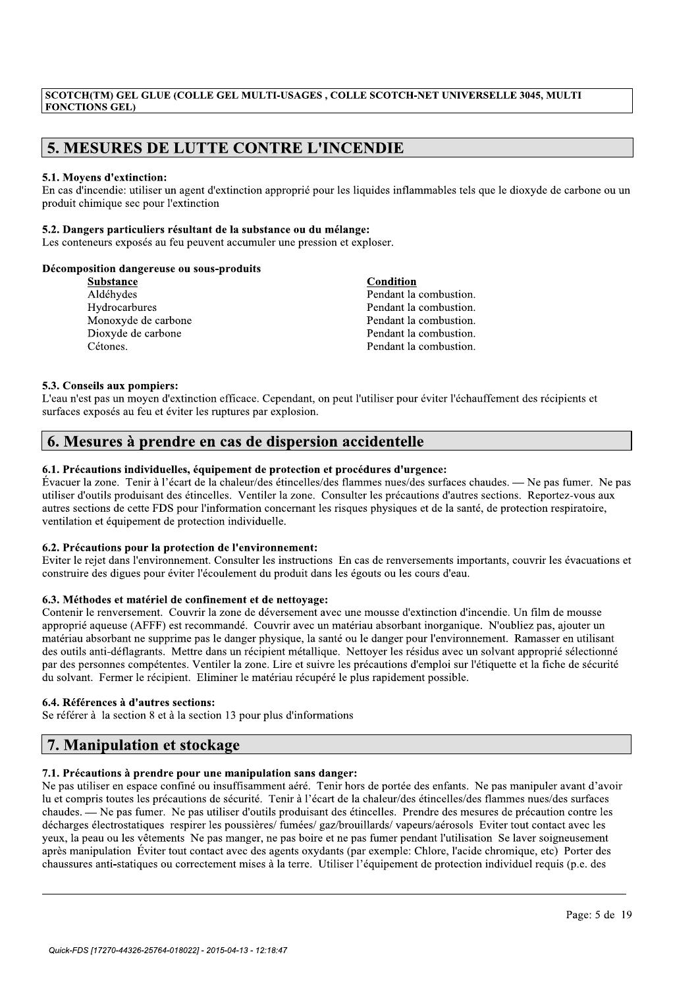ECOTCH(TM) GEL GLUE (COLLE GEL MULTI-USAGES , COLLE SCOTCH-NET UNIVERSELLE 3045, MULTI<br>
FONCTIONS GEL)<br>
5. MESURES DE LUTTE CONTRE L'INCENDIE<br>
5.1. Moyens d'extinction:<br>
En cas d'incendie: utiliser un agent d'extinction ap

| <b>FONCTIONS GEL)</b>                                                     | SCOTCH(TM) GEL GLUE (COLLE GEL MULTI-USAGES, COLLE SCOTCH-NET UNIVERSELLE 3045, MULTI                                           |
|---------------------------------------------------------------------------|---------------------------------------------------------------------------------------------------------------------------------|
|                                                                           |                                                                                                                                 |
| <b>5. MESURES DE LUTTE CONTRE L'INCENDIE</b>                              |                                                                                                                                 |
|                                                                           |                                                                                                                                 |
| 5.1. Moyens d'extinction:<br>produit chimique sec pour l'extinction       | En cas d'incendie: utiliser un agent d'extinction approprié pour les liquides inflammables tels que le dioxyde de carbone ou un |
| 5.2. Dangers particuliers résultant de la substance ou du mélange:        |                                                                                                                                 |
| Les conteneurs exposés au feu peuvent accumuler une pression et exploser. |                                                                                                                                 |
| Décomposition dangereuse ou sous-produits                                 |                                                                                                                                 |
| Substance                                                                 | Condition                                                                                                                       |
| Aldéhydes                                                                 | Pendant la combustion.                                                                                                          |
| Hydrocarbures                                                             | Pendant la combustion.                                                                                                          |
| Monoxyde de carbone                                                       | Pendant la combustion.                                                                                                          |
| Dioxyde de carbone                                                        | Pendant la combustion.                                                                                                          |
| Cétones.                                                                  | Pendant la combustion.                                                                                                          |

# 5.3. Conseils aux pompiers:

L'eau n'est pas un moyen d'extinction efficace. Cependant, on peut l'utiliser pour éviter l'échauffement des récipients et surfaces exposés au feu et éviter les ruptures par explosion.

# 6. Mesures à prendre en cas de dispersion accidentelle

# 6.1. Précautions individuelles, équipement de protection et procédures d'urgence:

Évacuer la zone. Tenir à l'écart de la chaleur/des étincelles/des flammes nues/des surfaces chaudes. — Ne pas fumer. Ne pas utiliser d'outils produisant des étincelles. Ventiler la zone. Consulter les précautions d'autres sections. Reportez-vous aux autres sections de cette FDS pour l'information concernant les risques physiques et de la santé, de protection respiratoire, ventilation et équipement de protection individuelle.

# 6.2. Précautions pour la protection de l'environnement:

Eviter le rejet dans l'environnement. Consulter les instructions En cas de renversements importants, couvrir les évacuations et construire des digues pour éviter l'écoulement du produit dans les égouts ou les cours d'eau.

# 6.3. Méthodes et matériel de confinement et de nettovage:

Contenir le renversement. Couvrir la zone de déversement avec une mousse d'extinction d'incendie. Un film de mousse approprié aqueuse (AFFF) est recommandé. Couvrir avec un matériau absorbant inorganique. N'oubliez pas, ajouter un matériau absorbant ne supprime pas le danger physique, la santé ou le danger pour l'environnement. Ramasser en utilisant des outils anti-déflagrants. Mettre dans un récipient métallique. Nettoyer les résidus avec un solvant approprié sélectionné par des personnes compétentes. Ventiler la zone. Lire et suivre les précautions d'emploi sur l'étiquette et la fiche de sécurité du solvant. Fermer le récipient. Eliminer le matériau récupéré le plus rapidement possible.

# 6.4. Références à d'autres sections:

Se référer à la section 8 et à la section 13 pour plus d'informations

# 7. Manipulation et stockage

# 7.1. Précautions à prendre pour une manipulation sans danger:

Ne pas utiliser en espace confiné ou insuffisamment aéré. Tenir hors de portée des enfants. Ne pas manipuler avant d'avoir lu et compris toutes les précautions de sécurité. Tenir à l'écart de la chaleur/des étincelles/des flammes nues/des surfaces chaudes. — Ne pas fumer. Ne pas utiliser d'outils produisant des étincelles. Prendre des mesures de précaution contre les décharges électrostatiques respirer les poussières/ fumées/ gaz/brouillards/ vapeurs/aérosols Eviter tout contact avec les yeux, la peau ou les vêtements Ne pas manger, ne pas boire et ne pas fumer pendant l'utilisation Se laver soigneusement après manipulation Éviter tout contact avec des agents oxydants (par exemple: Chlore, l'acide chromique, etc) Porter des chaussures anti-statiques ou correctement mises à la terre. Utiliser l'équipement de protection individuel requis (p.e. des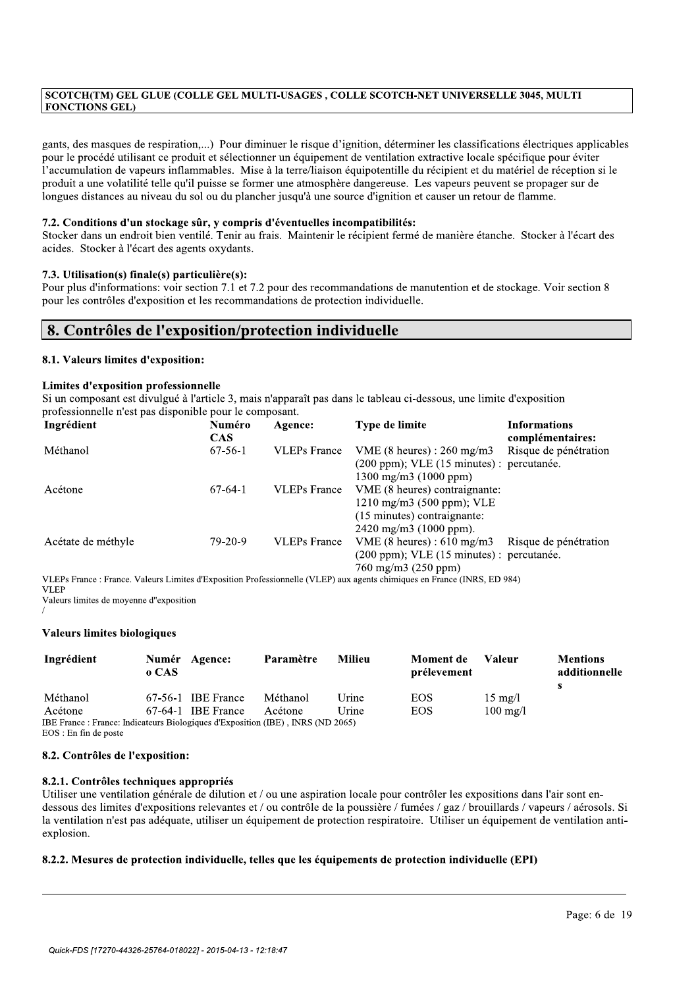SCOTCH(TM) GEL GLUE (COLLE GEL MULTI-USAGES , COLLE SCOTCH-NET UNIVERSELLE 3045, MULTI<br>
FONCTIONS GEL)<br>
gants, des masques de respiration,....) Pour diminuer le risque d'ignition, déterminer les classifications électriques gants, des masques de respiration,...) Pour diminuer le risque d'ignition, déterminer les classifications électriques applicables pour le procédé utilisant ce produit et sélectionner un équipement de ventilation extractive locale spécifique pour éviter l'accumulation de vapeurs inflammables. Mise à la terre/liaison équipotentille du récipient et du matériel de réception si le produit a une volatilité telle qu'il puisse se former une atmosphère dangereuse. Les vapeurs peuvent se propager sur de longues distances au niveau du sol ou du plancher jusqu'à une source d'ignition et causer un retour de flamme.

# 7.2. Conditions d'un stockage sûr, y compris d'éventuelles incompatibilités:

Stocker dans un endroit bien ventilé. Tenir au frais. Maintenir le récipient fermé de manière étanche. Stocker à l'écart des acides. Stocker à l'écart des agents oxydants.

# 7.3. Utilisation(s) finale(s) particulière(s):

Pour plus d'informations: voir section 7.1 et 7.2 pour des recommandations de manutention et de stockage. Voir section 8 pour les contrôles d'exposition et les recommandations de protection individuelle.

# 8. Contrôles de l'exposition/protection individuelle

# 8.1. Valeurs limites d'exposition:

# Limites d'exposition professionnelle

| 8. Contrôles de l'exposition/protection individuelle    |                      |                     |                                                                                                                                                                                                                                              |                                         |
|---------------------------------------------------------|----------------------|---------------------|----------------------------------------------------------------------------------------------------------------------------------------------------------------------------------------------------------------------------------------------|-----------------------------------------|
| 8.1. Valeurs limites d'exposition:                      |                      |                     |                                                                                                                                                                                                                                              |                                         |
| Limites d'exposition professionnelle                    |                      |                     |                                                                                                                                                                                                                                              |                                         |
| professionnelle n'est pas disponible pour le composant. |                      |                     | Si un composant est divulgué à l'article 3, mais n'apparaît pas dans le tableau ci-dessous, une limite d'exposition                                                                                                                          |                                         |
| Ingrédient                                              | Numéro<br><b>CAS</b> | Agence:             | Type de limite                                                                                                                                                                                                                               | <b>Informations</b><br>complémentaires: |
| Méthanol                                                | $67-56-1$            | <b>VLEPs</b> France | VME $(8 \text{ heures}) : 260 \text{ mg/m}3$<br>(200 ppm); VLE (15 minutes) : percutanée.<br>$1300 \text{ mg/m}$ (1000 ppm)                                                                                                                  | Risque de pénétration                   |
| Acétone                                                 | $67-64-1$            | <b>VLEPs</b> France | VME (8 heures) contraignante:<br>1210 mg/m3 (500 ppm); VLE<br>(15 minutes) contraignante:<br>2420 mg/m3 (1000 ppm).                                                                                                                          |                                         |
| Acétate de méthyle                                      | $79-20-9$            | <b>VLEPs</b> France | VME $(8 \text{ heures}) : 610 \text{ mg/m}3$<br>(200 ppm); VLE (15 minutes) : percutanée.<br>760 mg/m3 (250 ppm)<br>VI EDs France : France Valeurs Limites d'Exposition Professionnelle (VLED) aux agents chimiques en France (INDS, ED 084) | Risque de pénétration                   |

| <b>VLEP</b><br>Valeurs limites de moyenne d"exposition                                                   |                |                      |           |               |                          |                    |                                       |
|----------------------------------------------------------------------------------------------------------|----------------|----------------------|-----------|---------------|--------------------------|--------------------|---------------------------------------|
| Valeurs limites biologiques                                                                              |                |                      |           |               |                          |                    |                                       |
| Ingrédient                                                                                               | Numér<br>o CAS | Agence:              | Paramètre | <b>Milieu</b> | Moment de<br>prélevement | Valeur             | <b>Mentions</b><br>additionnelle<br>s |
| Méthanol                                                                                                 |                | $67-56-1$ IBE France | Méthanol  | Urine         | <b>EOS</b>               | $15 \text{ mg}/l$  |                                       |
| Acétone                                                                                                  |                | $67-64-1$ IBE France | Acétone   | Urine         | <b>EOS</b>               | $100 \text{ mg/l}$ |                                       |
| IBE France: France: Indicateurs Biologiques d'Exposition (IBE), INRS (ND 2065)<br>$EOS: En$ fin de poste |                |                      |           |               |                          |                    |                                       |

# 8.2. Contrôles de l'exposition:

# 8.2.1. Contrôles techniques appropriés

Utiliser une ventilation générale de dilution et / ou une aspiration locale pour contrôler les expositions dans l'air sont endessous des limites d'expositions relevantes et / ou contrôle de la poussière / fumées / gaz / brouillards / vapeurs / aérosols. Si la ventilation n'est pas adéquate, utiliser un équipement de protection respiratoire. Utiliser un équipement de ventilation antiexplosion.

//////////////////////////////////////////////////////////////////////////////////////////

# 8.2.2. Mesures de protection individuelle, telles que les équipements de protection individuelle (EPI)

 $\mathcal{L}_{\mathcal{L}}$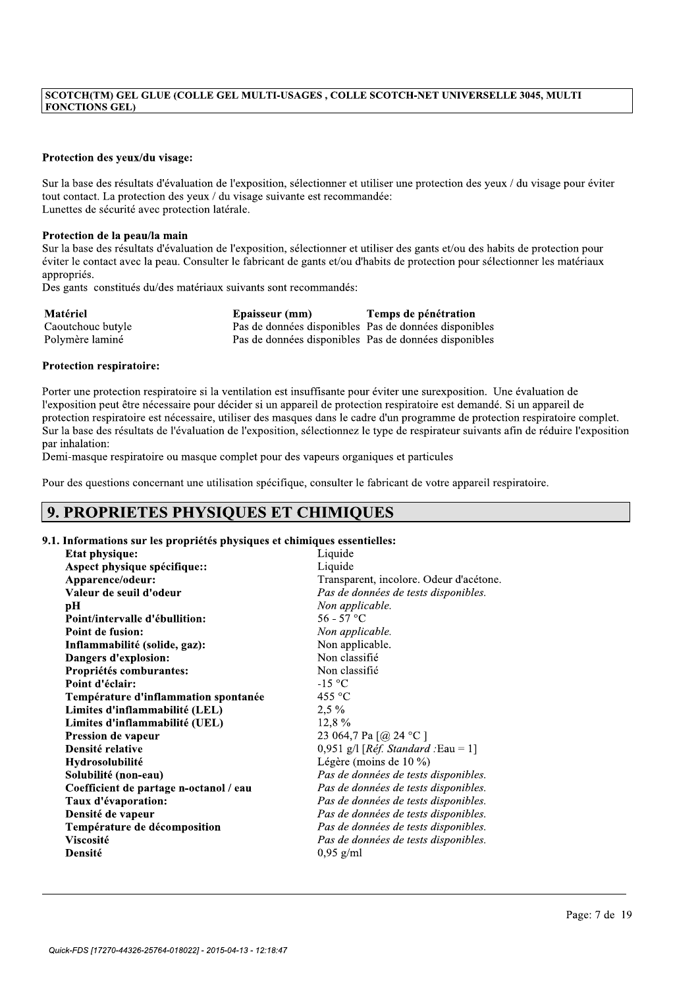# Protection des yeux/du visage:

SCOTCH(TM) GEL GLUE (COLLE GEL MULTI-USAGES , COLLE SCOTCH-NET UNIVERSELLE 3045, MULTI<br>
FONCTIONS GEL)<br>
Protection des yeux/du visage:<br>
Sur la base des résultats d'évaluation de l'exposition, sélectionner et utiliser une p Sur la base des résultats d'évaluation de l'exposition, sélectionner et utiliser une protection des yeux / du visage pour éviter tout contact. La protection des yeux / du visage suivante est recommandée: Lunettes de sécurité avec protection latérale.

## Protection de la peau/la main

Sur la base des résultats d'évaluation de l'exposition, sélectionner et utiliser des gants et/ou des habits de protection pour éviter le contact avec la peau. Consulter le fabricant de gants et/ou d'habits de protection pour sélectionner les matériaux appropriés.

Des gants constitués du/des matériaux suivants sont recommandés:

| Matériel          | Epaisseur (mm)                                        | Temps de pénétration                                  |
|-------------------|-------------------------------------------------------|-------------------------------------------------------|
| Caoutchouc butyle | Pas de données disponibles Pas de données disponibles |                                                       |
| Polymère laminé   |                                                       | Pas de données disponibles Pas de données disponibles |

# Protection respiratoire:

Porter une protection respiratoire si la ventilation est insuffisante pour éviter une surexposition. Une évaluation de l'exposition peut être nécessaire pour décider si un appareil de protection respiratoire est demandé. Si un appareil de protection respiratoire est nécessaire, utiliser des masques dans le cadre d'un programme de protection respiratoire complet. Sur la base des résultats de l'évaluation de l'exposition, sélectionnez le type de respirateur suivants afin de réduire l'exposition par inhalation:

Demi-masque respiratoire ou masque complet pour des vapeurs organiques et particules

Pour des questions concernant une utilisation spécifique, consulter le fabricant de votre appareil respiratoire.

# 9. PROPRIETES PHYSIOUES ET CHIMIOUES

# 9.1. Informations sur les propriétés physiques et chimiques essentielles:

| <b>Etat physique:</b>                  | Liquide                                         |
|----------------------------------------|-------------------------------------------------|
| Aspect physique spécifique::           | Liquide                                         |
| Apparence/odeur:                       | Transparent, incolore. Odeur d'acétone.         |
| Valeur de seuil d'odeur                | Pas de données de tests disponibles.            |
| pН                                     | Non applicable.                                 |
| Point/intervalle d'ébullition:         | $56 - 57$ °C                                    |
| Point de fusion:                       | Non applicable.                                 |
| Inflammabilité (solide, gaz):          | Non applicable.                                 |
| Dangers d'explosion:                   | Non classifié                                   |
| Propriétés comburantes:                | Non classifié                                   |
| Point d'éclair:                        | $-15$ °C                                        |
| Température d'inflammation spontanée   | 455 $\degree$ C                                 |
| Limites d'inflammabilité (LEL)         | $2,5\%$                                         |
| Limites d'inflammabilité (UEL)         | 12,8%                                           |
| Pression de vapeur                     | 23 064,7 Pa [@ 24 °C ]                          |
| Densité relative                       | 0,951 g/l [ $R\acute{e}f$ . Standard : Eau = 1] |
| Hydrosolubilité                        | Légère (moins de $10\%$ )                       |
| Solubilité (non-eau)                   | Pas de données de tests disponibles.            |
| Coefficient de partage n-octanol / eau | Pas de données de tests disponibles.            |
| Taux d'évaporation:                    | Pas de données de tests disponibles.            |
| Densité de vapeur                      | Pas de données de tests disponibles.            |
| Température de décomposition           | Pas de données de tests disponibles.            |
| <b>Viscosité</b>                       | Pas de données de tests disponibles.            |
| Densité                                | $0,95$ g/ml                                     |
|                                        |                                                 |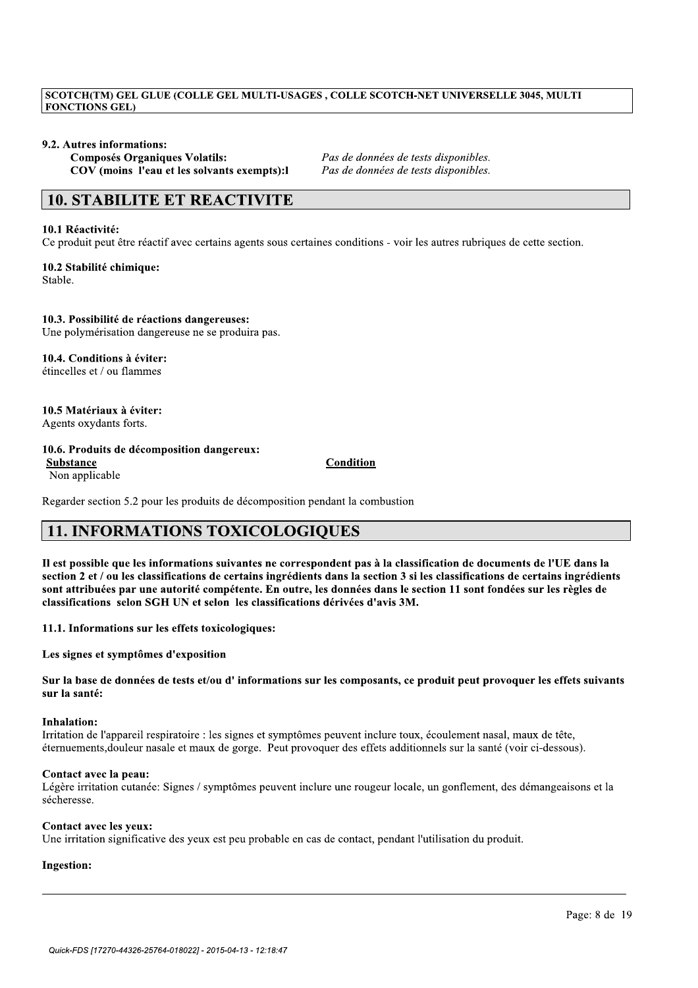# ECOTCH(TM) GEL GLUE (COLLE GEL MULTI-USAGES , COLLE SCOTCH-NET UNIVERSELLE 3045, MULTI<br>
FONCTIONS GEL)<br>
9.2. Autres informations:<br>
Composés Organiques Volatils:<br>
COV (moins l'eau et les solvants exempts): l<br>
2 as de donnée

9.2. Autres informations:<br>Composés Organiques Volatils: COV (moins l'eau et les solvants exempts):

Pas de données de tests disponibles.<br>Pas de données de tests disponibles.

# 10. STABILITE ET REACTIVITE

# 10.1 Réactivité:

Ce produit peut être réactif avec certains agents sous certaines conditions - voir les autres rubriques de cette section.

10.2 Stabilité chimique: Stable.

# 10.3. Possibilité de réactions dangereuses:

Une polymérisation dangereuse ne se produira pas.

10.4. Conditions à éviter:  $\acute{e}$ tincelles et / ou flammes

10.5 Matériaux à éviter: Agents oxydants forts.

# 10.6. Produits de décomposition dangereux:

Substance Condition Non applicable

10.5 Matériaux à éviter:<br>
10.6. Produits de décomposition dangereux:<br>
Substance<br>
Non applicable<br>
Non applicable<br>
Non applicable<br>
11. INFORMATIONS TOXICOLOGIQUES<br>
11 est possible que les informations suivantes ne correspond

# Inhalation:

Irritation de l'appareil respiratoire : les signes et symptômes peuvent inclure toux, écoulement nasal, maux de tête, éternuements, douleur nasale et maux de gorge. Peut provoquer des effets additionnels sur la santé (voir ci-dessous).

# Contact avec la peau:

Légère irritation cutanée: Signes / symptômes peuvent inclure une rougeur locale, un gonflement, des démangeaisons et la sécheresse.

//////////////////////////////////////////////////////////////////////////////////////////

# Contact avec les yeux:

Une irritation significative des yeux est peu probable en cas de contact, pendant l'utilisation du produit.

# Ingestion: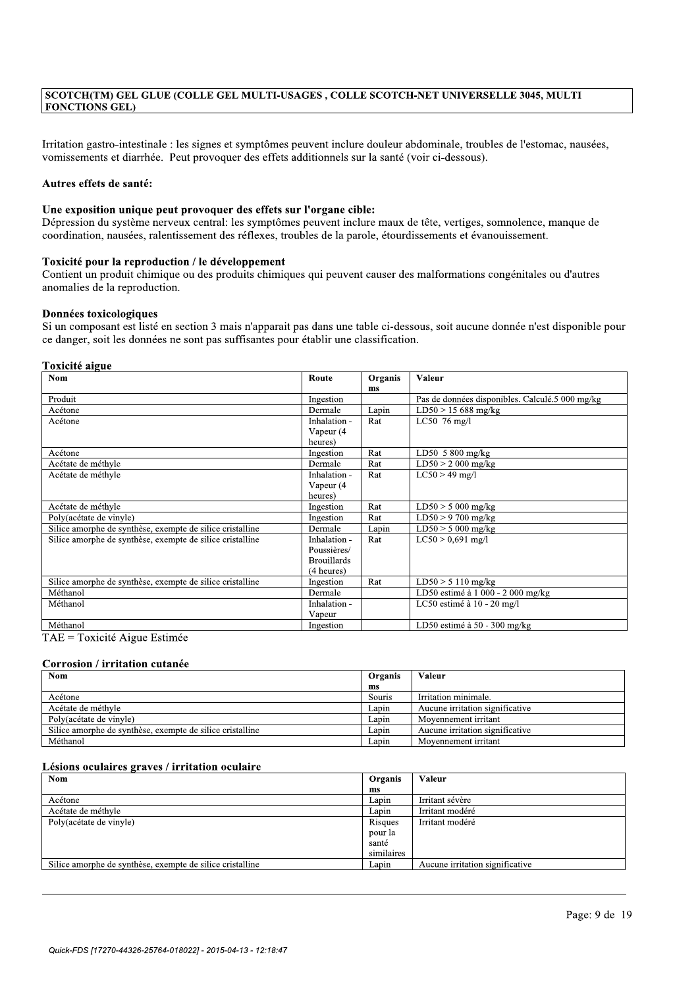SCOTCH(TM) GEL GLUE (COLLE GEL MULTI-USAGES , COLLE SCOTCH-NET UNIVERSELLE 3045, MULTI<br>
FONCTIONS GEL)<br>
Irritation gastro-intestinale : les signes et symptômes peuvent inclure douleur abdominale, troubles de l'estomac, nau Irritation gastro-intestinale : les signes et symptômes peuvent inclure douleur abdominale, troubles de l'estomac, nausées, vomissements et diarrhée. Peut provoquer des effets additionnels sur la santé (voir ci-dessous).

# Autres effets de santé:

# Une exposition unique peut provoquer des effets sur l'organe cible:

Dépression du système nerveux central: les symptômes peuvent inclure maux de tête, vertiges, somnolence, manque de coordination, nausées, ralentissement des réflexes, troubles de la parole, étourdissements et évanouissement.

## Toxicité pour la reproduction / le développement

Contient un produit chimique ou des produits chimiques qui peuvent causer des malformations congénitales ou d'autres anomalies de la reproduction.

## Données toxicologiques

| Toxicité aigue<br><b>Nom</b>                              | Route              | Organis       | Valeur                                          |
|-----------------------------------------------------------|--------------------|---------------|-------------------------------------------------|
|                                                           |                    | <sub>ms</sub> |                                                 |
| Produit                                                   | Ingestion          |               | Pas de données disponibles. Calculé.5 000 mg/kg |
| Acétone                                                   | Dermale            | Lapin         | $LD50 > 15688$ mg/kg                            |
| Acétone                                                   | Inhalation -       | Rat           | LC50 $76$ mg/l                                  |
|                                                           | Vapeur (4          |               |                                                 |
|                                                           | heures)            |               |                                                 |
| Acétone                                                   | Ingestion          | Rat           | LD50 5 800 mg/kg                                |
| Acétate de méthyle                                        | Dermale            | Rat           | $LD50 > 2000$ mg/kg                             |
| Acétate de méthyle                                        | Inhalation -       | Rat           | $LC50 > 49$ mg/l                                |
|                                                           | Vapeur (4          |               |                                                 |
|                                                           | heures)            |               |                                                 |
| Acétate de méthyle                                        | Ingestion          | Rat           | $LD50 > 5000$ mg/kg                             |
| Poly(acétate de vinyle)                                   | Ingestion          | Rat           | $LD50 > 9700$ mg/kg                             |
| Silice amorphe de synthèse, exempte de silice cristalline | Dermale            | Lapin         | $LD50 > 5000$ mg/kg                             |
| Silice amorphe de synthèse, exempte de silice cristalline | Inhalation -       | Rat           | $LC50 > 0.691$ mg/l                             |
|                                                           | Poussières/        |               |                                                 |
|                                                           | <b>Brouillards</b> |               |                                                 |
|                                                           | (4 heures)         |               |                                                 |
| Silice amorphe de synthèse, exempte de silice cristalline | Ingestion          | Rat           | $LD50 > 5110$ mg/kg                             |
| Méthanol                                                  | Dermale            |               | LD50 estimé à 1 000 - 2 000 mg/kg               |
| Méthanol                                                  | Inhalation -       |               | LC50 estimé à 10 - 20 mg/l                      |
|                                                           | Vapeur             |               |                                                 |
| Méthanol                                                  | Ingestion          |               | LD50 estimé à 50 - 300 mg/kg                    |

| <b>Nom</b>                                                | Organis | Valeur                          |
|-----------------------------------------------------------|---------|---------------------------------|
|                                                           | ms      |                                 |
| Acétone                                                   | Souris  | Irritation minimale.            |
| Acétate de méthyle                                        | Lapin   | Aucune irritation significative |
| Poly(acétate de vinyle)                                   | Lapin   | Movennement irritant            |
| Silice amorphe de synthèse, exempte de silice cristalline | Lapın   | Aucune irritation significative |
| Méthanol                                                  | Lapin   | Movennement irritant            |

| Méthanol                                                  | Dermale      |            | LD50 estimé à 1 000 - 2 000 mg/kg |
|-----------------------------------------------------------|--------------|------------|-----------------------------------|
| Méthanol                                                  | Inhalation - |            | LC50 estimé à $10 - 20$ mg/l      |
|                                                           | Vapeur       |            |                                   |
| Méthanol                                                  | Ingestion    |            | LD50 estimé à 50 - 300 mg/kg      |
| TAE = Toxicité Aigue Estimée                              |              |            |                                   |
|                                                           |              |            |                                   |
| Corrosion / irritation cutanée                            |              |            |                                   |
| <b>Nom</b>                                                |              | Organis    | Valeur                            |
|                                                           |              | ms         |                                   |
| Acétone                                                   |              | Souris     | Irritation minimale.              |
| Acétate de méthyle                                        |              | Lapin      | Aucune irritation significative   |
| Poly(acétate de vinyle)                                   |              | Lapin      | Moyennement irritant              |
| Silice amorphe de synthèse, exempte de silice cristalline |              | Lapin      | Aucune irritation significative   |
| Méthanol                                                  |              | Lapin      | Movennement irritant              |
|                                                           |              |            |                                   |
| Lésions oculaires graves / irritation oculaire            |              |            |                                   |
| <b>Nom</b>                                                |              | Organis    | Valeur                            |
|                                                           |              | ms         |                                   |
| Acétone                                                   |              | Lapin      | Irritant sévère                   |
|                                                           |              |            |                                   |
| Acétate de méthyle                                        |              | Lapin      | Irritant modéré                   |
| Poly(acétate de vinyle)                                   |              | Risques    | Irritant modéré                   |
|                                                           |              | pour la    |                                   |
|                                                           |              | santé      |                                   |
|                                                           |              | similaires |                                   |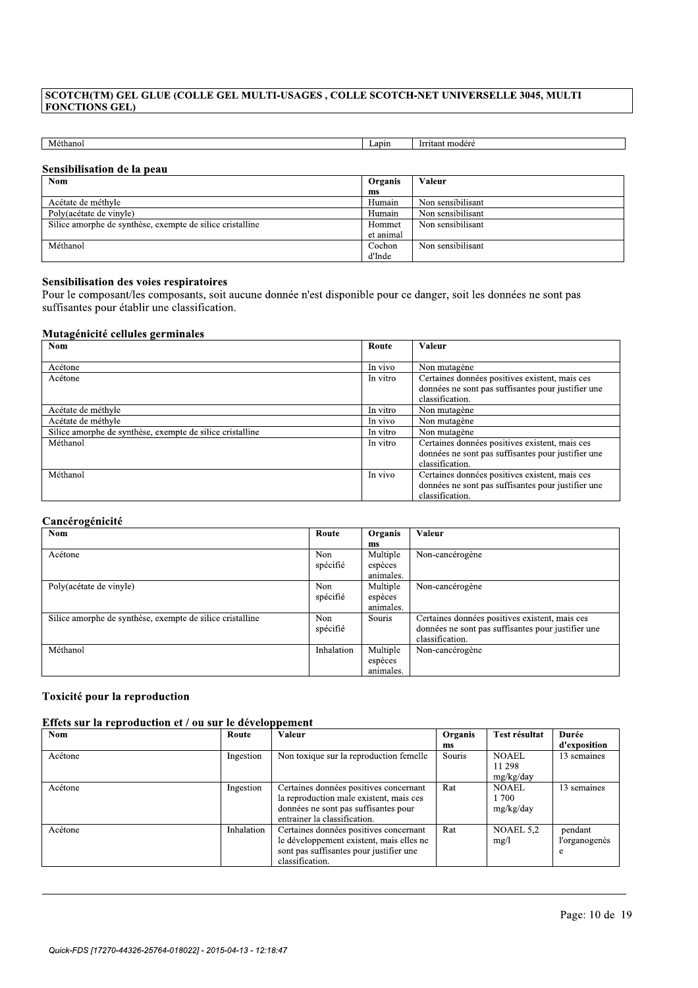| SCOTCH(TM) GEL GLUE (COLLE GEL MULTI-USAGES, COLLE SCOTCH-NET UNIVERSELLE 3045, MULTI |           |                   |
|---------------------------------------------------------------------------------------|-----------|-------------------|
| <b>FONCTIONS GEL)</b>                                                                 |           |                   |
|                                                                                       |           |                   |
|                                                                                       |           |                   |
|                                                                                       |           |                   |
| Méthanol                                                                              | Lapin     | Irritant modéré   |
|                                                                                       |           |                   |
| Sensibilisation de la peau                                                            |           |                   |
| <b>Nom</b>                                                                            | Organis   | Valeur            |
|                                                                                       | ms        |                   |
| Acétate de méthyle                                                                    | Humain    | Non sensibilisant |
| Poly(acétate de vinyle)                                                               | Humain    | Non sensibilisant |
|                                                                                       | Hommet    | Non sensibilisant |
| Silice amorphe de synthèse, exempte de silice cristalline                             | et animal |                   |
| Méthanol                                                                              | Cochon    | Non sensibilisant |

# Sensibilisation des voies respiratoires

|                                                                                                                                                                                                                                                   | .        |                                                                                                                         |
|---------------------------------------------------------------------------------------------------------------------------------------------------------------------------------------------------------------------------------------------------|----------|-------------------------------------------------------------------------------------------------------------------------|
| Sensibilisation des voies respiratoires<br>Pour le composant/les composants, soit aucune donnée n'est disponible pour ce danger, soit les données ne sont pas<br>suffisantes pour établir une classification.<br>Mutagénicité cellules germinales |          |                                                                                                                         |
| <b>Nom</b>                                                                                                                                                                                                                                        | Route    | <b>Valeur</b>                                                                                                           |
| Acétone                                                                                                                                                                                                                                           | In vivo  | Non mutagène                                                                                                            |
| Acétone                                                                                                                                                                                                                                           | In vitro | Certaines données positives existent, mais ces<br>données ne sont pas suffisantes pour justifier une<br>classification. |
| Acétate de méthyle                                                                                                                                                                                                                                | In vitro | Non mutagène                                                                                                            |
| Acétate de méthyle                                                                                                                                                                                                                                | In vivo  | Non mutagène                                                                                                            |
| Silice amorphe de synthèse, exempte de silice cristalline                                                                                                                                                                                         | In vitro | Non mutagène                                                                                                            |
| Méthanol                                                                                                                                                                                                                                          | In vitro | Certaines données positives existent, mais ces<br>données ne sont pas suffisantes pour justifier une<br>classification. |
| Méthanol                                                                                                                                                                                                                                          | In vivo  | Certaines données positives existent, mais ces<br>données ne sont pas suffisantes pour justifier une<br>classification. |

|                                                           |                 |                                                                                                                         | données ne sont pas suffisantes pour justifier une<br>classification.                                                   |
|-----------------------------------------------------------|-----------------|-------------------------------------------------------------------------------------------------------------------------|-------------------------------------------------------------------------------------------------------------------------|
| Méthanol                                                  | In vivo         | Certaines données positives existent, mais ces<br>données ne sont pas suffisantes pour justifier une<br>classification. |                                                                                                                         |
| Cancérogénicité                                           |                 |                                                                                                                         |                                                                                                                         |
| <b>Nom</b>                                                | Route           | Organis<br>ms                                                                                                           | Valeur                                                                                                                  |
| Acétone                                                   | Non<br>spécifié | Multiple<br>espèces<br>animales.                                                                                        | Non-cancérogène                                                                                                         |
| Poly(acétate de vinyle)                                   | Non<br>spécifié | Multiple<br>espèces<br>animales.                                                                                        | Non-cancérogène                                                                                                         |
| Silice amorphe de synthèse, exempte de silice cristalline | Non<br>spécifié | Souris                                                                                                                  | Certaines données positives existent, mais ces<br>données ne sont pas suffisantes pour justifier une<br>classification. |
| Méthanol                                                  | Inhalation      | Multiple<br>espèces<br>animales.                                                                                        | Non-cancérogène                                                                                                         |

| Méthanol<br>Toxicité pour la reproduction               |            | Inhalation                                                                                                                                                | Multiple<br>espèces<br>animales. | Non-cancérogène                    |                                     |                               |
|---------------------------------------------------------|------------|-----------------------------------------------------------------------------------------------------------------------------------------------------------|----------------------------------|------------------------------------|-------------------------------------|-------------------------------|
| Effets sur la reproduction et / ou sur le développement |            |                                                                                                                                                           |                                  |                                    |                                     |                               |
| <b>Nom</b>                                              | Route      | Valeur                                                                                                                                                    |                                  | Organis<br>ms                      | Test résultat                       | Durée<br>d'exposition         |
| Acétone                                                 | Ingestion  | Non toxique sur la reproduction femelle                                                                                                                   |                                  | Souris                             | <b>NOAEL</b><br>11 298<br>mg/kg/day | 13 semaines                   |
| Acétone                                                 | Ingestion  | Certaines données positives concernant<br>la reproduction male existent, mais ces<br>données ne sont pas suffisantes pour<br>entrainer la classification. | Rat                              | <b>NOAEL</b><br>1 700<br>mg/kg/day | 13 semaines                         |                               |
| Acétone                                                 | Inhalation | Certaines données positives concernant<br>le développement existent, mais elles ne<br>sont pas suffisantes pour justifier une<br>classification.          |                                  | Rat                                | NOAEL 5.2<br>mg/l                   | pendant<br>l'organogenès<br>e |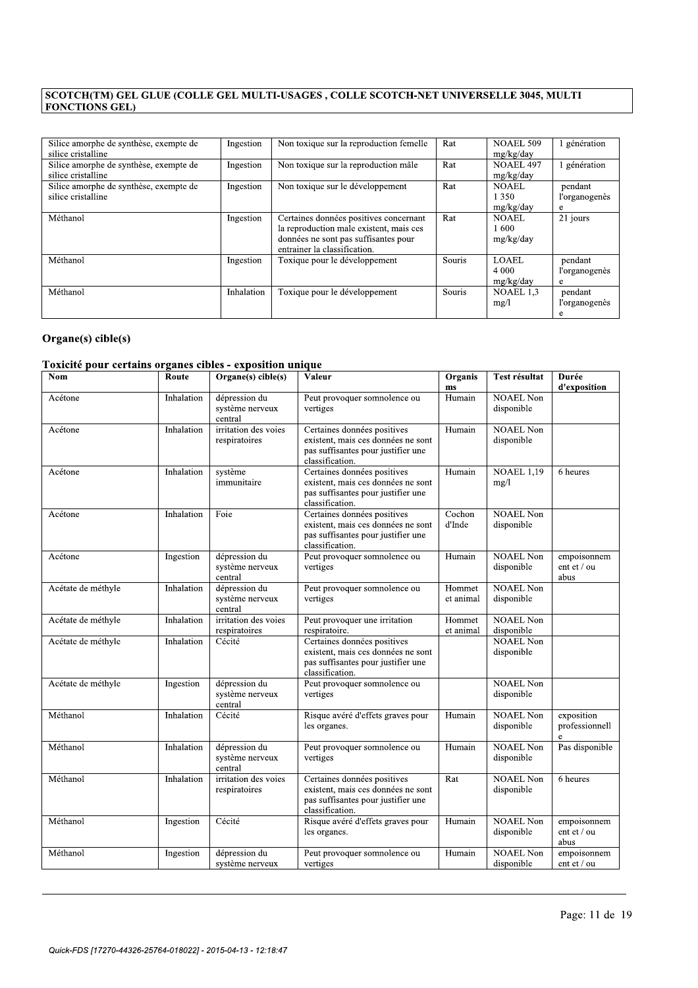| Silice amorphe de synthèse, exempte de<br>silice cristalline | Ingestion  | Non toxique sur la reproduction femelle                                                                                                                   | Rat    | NOAEL 509<br>mg/kg/day               | génération                    |
|--------------------------------------------------------------|------------|-----------------------------------------------------------------------------------------------------------------------------------------------------------|--------|--------------------------------------|-------------------------------|
| Silice amorphe de synthèse, exempte de<br>silice cristalline | Ingestion  | Non toxique sur la reproduction mâle                                                                                                                      | Rat    | NOAEL 497<br>mg/kg/day               | génération                    |
| Silice amorphe de synthèse, exempte de<br>silice cristalline | Ingestion  | Non toxique sur le développement                                                                                                                          | Rat    | <b>NOAEL</b><br>1 3 5 0<br>mg/kg/day | pendant<br>l'organogenès<br>e |
| Méthanol                                                     | Ingestion  | Certaines données positives concernant<br>la reproduction male existent, mais ces<br>données ne sont pas suffisantes pour<br>entrainer la classification. | Rat    | <b>NOAEL</b><br>-600<br>mg/kg/day    | 21 jours                      |
| Méthanol                                                     | Ingestion  | Toxique pour le développement                                                                                                                             | Souris | LOAEL<br>4 0 0 0<br>mg/kg/day        | pendant<br>l'organogenès<br>e |
| Méthanol                                                     | Inhalation | Toxique pour le développement                                                                                                                             | Souris | NOAEL 1.3<br>mg/l                    | pendant<br>l'organogenès<br>e |

# $Organe(s)$  cible(s)

| Méthanol   |                          |                       |                                                                                                                                                                                                               |                                                                                                                                                                                         | NOAEL 1,3<br>mg/1              | pendant<br>l'organogenès<br>e      |  |
|------------|--------------------------|-----------------------|---------------------------------------------------------------------------------------------------------------------------------------------------------------------------------------------------------------|-----------------------------------------------------------------------------------------------------------------------------------------------------------------------------------------|--------------------------------|------------------------------------|--|
|            |                          |                       |                                                                                                                                                                                                               |                                                                                                                                                                                         |                                |                                    |  |
| Route      |                          |                       | <b>Valeur</b>                                                                                                                                                                                                 | Organis<br>ms                                                                                                                                                                           | Test résultat                  | Durée<br>d'exposition              |  |
| Inhalation | dépression du<br>central |                       | Peut provoquer somnolence ou<br>vertiges                                                                                                                                                                      | Humain                                                                                                                                                                                  | <b>NOAEL Non</b><br>disponible |                                    |  |
| Inhalation | respiratoires            |                       | Certaines données positives<br>existent, mais ces données ne sont<br>pas suffisantes pour justifier une<br>classification.                                                                                    | Humain                                                                                                                                                                                  | <b>NOAEL Non</b><br>disponible |                                    |  |
| Inhalation | système<br>immunitaire   |                       | existent, mais ces données ne sont<br>pas suffisantes pour justifier une<br>classification.                                                                                                                   | Humain                                                                                                                                                                                  | <b>NOAEL 1.19</b><br>mg/1      | 6 heures                           |  |
| Inhalation | Foie                     |                       | existent, mais ces données ne sont<br>pas suffisantes pour justifier une<br>classification.                                                                                                                   | Cochon<br>d'Inde                                                                                                                                                                        | <b>NOAEL Non</b><br>disponible |                                    |  |
| Ingestion  | dépression du<br>central |                       | Peut provoquer somnolence ou<br>vertiges                                                                                                                                                                      | Humain                                                                                                                                                                                  | <b>NOAEL Non</b><br>disponible | empoisonnem<br>ent et / ou<br>abus |  |
| Inhalation | dépression du<br>central |                       | Peut provoquer somnolence ou<br>vertiges                                                                                                                                                                      | Hommet<br>et animal                                                                                                                                                                     | <b>NOAEL Non</b><br>disponible |                                    |  |
| Inhalation | respiratoires            |                       | Peut provoquer une irritation<br>respiratoire.                                                                                                                                                                | Hommet<br>et animal                                                                                                                                                                     | <b>NOAEL Non</b><br>disponible |                                    |  |
| Inhalation | Cécité                   |                       | existent, mais ces données ne sont<br>pas suffisantes pour justifier une<br>classification.                                                                                                                   |                                                                                                                                                                                         | <b>NOAEL Non</b><br>disponible |                                    |  |
| Ingestion  | dépression du            |                       | Peut provoquer somnolence ou<br>vertiges                                                                                                                                                                      |                                                                                                                                                                                         | <b>NOAEL Non</b><br>disponible |                                    |  |
| Inhalation | Cécité                   |                       | Risque avéré d'effets graves pour<br>les organes.                                                                                                                                                             | Humain                                                                                                                                                                                  | <b>NOAEL Non</b><br>disponible | exposition<br>professionnell<br>e  |  |
| Inhalation | dépression du<br>central |                       | Peut provoquer somnolence ou<br>vertiges                                                                                                                                                                      | Humain                                                                                                                                                                                  | <b>NOAEL Non</b><br>disponible | Pas disponible                     |  |
| Inhalation | respiratoires            |                       | Certaines données positives<br>existent, mais ces données ne sont<br>pas suffisantes pour justifier une<br>classification.                                                                                    | Rat                                                                                                                                                                                     | <b>NOAEL Non</b><br>disponible | 6 heures                           |  |
| Ingestion  | Cécité                   |                       | Risque avéré d'effets graves pour<br>les organes.                                                                                                                                                             | Humain                                                                                                                                                                                  | <b>NOAEL Non</b><br>disponible | empoisonnem<br>ent et / ou<br>abus |  |
| Ingestion  | dépression du            |                       | Peut provoquer somnolence ou<br>vertiges                                                                                                                                                                      | Humain                                                                                                                                                                                  | <b>NOAEL</b> Non<br>disponible | empoisonnem<br>ent et / ou         |  |
|            |                          | Inhalation<br>central | $Organ(s)$ cible(s)<br>système nerveux<br>irritation des voies<br>système nerveux<br>système nerveux<br>irritation des voies<br>système nerveux<br>système nerveux<br>irritation des voies<br>système nerveux | Toxique pour le développement<br>Toxicité pour certains organes cibles - exposition unique<br>Certaines données positives<br>Certaines données positives<br>Certaines données positives | Souris                         |                                    |  |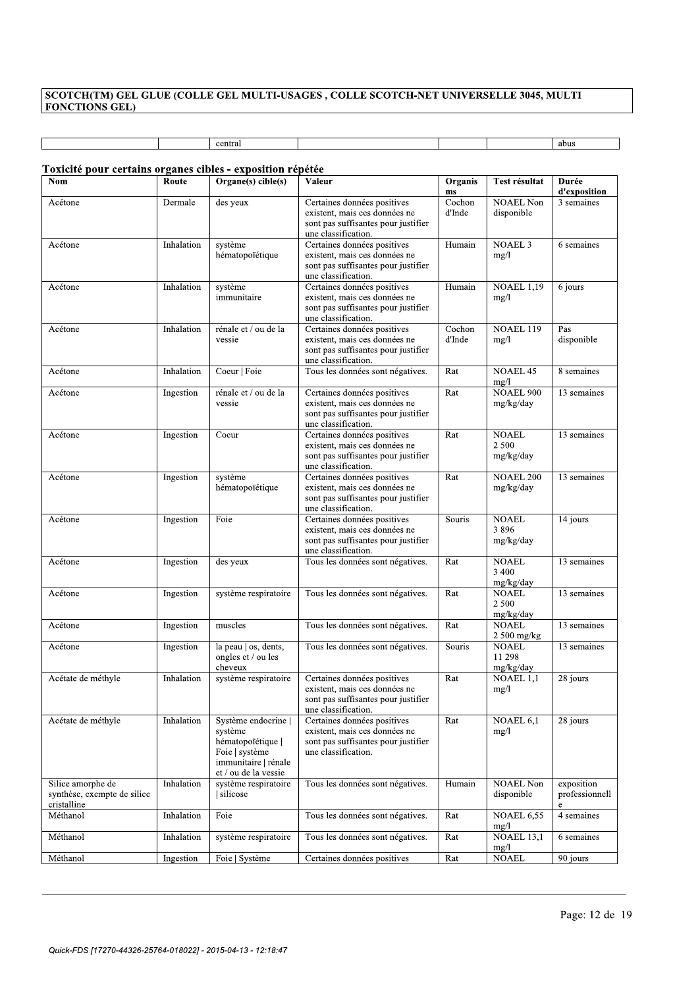# $[{\color{red} \frac{\text{SCOTCH(TM)}{\text{FONCTIONS GEL}}} \atop \text{ECJUM} \text{COLLE GEL MULTI-USAGES}\atop \text{central} } ] \text{ central} \atop \text{1} \text{obus} \atop \text{1} \text{obus} \atop \text{1} \text{obus} \atop \text{2} \text{th} \text{certains} \text{ organs} } \text{cibles - exposition répétée}$

|                                                                          |            | central                                                                                                                     |                                                                                                                            |                        |                                      | abus                              |
|--------------------------------------------------------------------------|------------|-----------------------------------------------------------------------------------------------------------------------------|----------------------------------------------------------------------------------------------------------------------------|------------------------|--------------------------------------|-----------------------------------|
|                                                                          |            |                                                                                                                             |                                                                                                                            |                        |                                      |                                   |
| Toxicité pour certains organes cibles - exposition répétée<br><b>Nom</b> | Route      | Organe(s) cible(s)                                                                                                          | Valeur                                                                                                                     | Organis                | Test résultat                        | Durée                             |
|                                                                          |            |                                                                                                                             |                                                                                                                            | $\mathbf{m}\mathbf{s}$ |                                      | d'exposition                      |
| Acétone                                                                  | Dermale    | des yeux                                                                                                                    | Certaines données positives<br>existent, mais ces données ne<br>sont pas suffisantes pour justifier<br>une classification. | Cochon<br>d'Inde       | <b>NOAEL Non</b><br>disponible       | 3 semaines                        |
| Acétone                                                                  | Inhalation | système<br>hématopoïétique                                                                                                  | Certaines données positives<br>existent, mais ces données ne<br>sont pas suffisantes pour justifier<br>une classification. | Humain                 | <b>NOAEL 3</b><br>mg/l               | 6 semaines                        |
| Acétone                                                                  | Inhalation | système<br>immunitaire                                                                                                      | Certaines données positives<br>existent, mais ces données ne<br>sont pas suffisantes pour justifier<br>une classification. | Humain                 | <b>NOAEL 1,19</b><br>mg/1            | 6 jours                           |
| Acétone                                                                  | Inhalation | rénale et / ou de la<br>vessie                                                                                              | Certaines données positives<br>existent, mais ces données ne<br>sont pas suffisantes pour justifier<br>une classification. | Cochon<br>d'Inde       | <b>NOAEL 119</b><br>mg/1             | Pas<br>disponible                 |
| Acétone                                                                  | Inhalation | Coeur   Foie                                                                                                                | Tous les données sont négatives.                                                                                           | Rat                    | <b>NOAEL 45</b><br>mg/l              | 8 semaines                        |
| Acétone                                                                  | Ingestion  | rénale et / ou de la<br>vessie                                                                                              | Certaines données positives<br>existent, mais ces données ne<br>sont pas suffisantes pour justifier<br>une classification. | Rat                    | <b>NOAEL 900</b><br>mg/kg/day        | 13 semaines                       |
| Acétone                                                                  | Ingestion  | Coeur                                                                                                                       | Certaines données positives<br>existent, mais ces données ne<br>sont pas suffisantes pour justifier<br>une classification. | Rat                    | <b>NOAEL</b><br>2 5 0 0<br>mg/kg/day | 13 semaines                       |
| Acétone                                                                  | Ingestion  | système<br>hématopoïétique                                                                                                  | Certaines données positives<br>existent, mais ces données ne<br>sont pas suffisantes pour justifier<br>une classification. | Rat                    | <b>NOAEL 200</b><br>mg/kg/day        | 13 semaines                       |
| Acétone                                                                  | Ingestion  | Foie                                                                                                                        | Certaines données positives<br>existent, mais ces données ne<br>sont pas suffisantes pour justifier<br>une classification. | Souris                 | <b>NOAEL</b><br>3896<br>mg/kg/day    | 14 jours                          |
| Acétone                                                                  | Ingestion  | des yeux                                                                                                                    | Tous les données sont négatives.                                                                                           | Rat                    | <b>NOAEL</b><br>3 4 0 0<br>mg/kg/day | 13 semaines                       |
| Acétone                                                                  | Ingestion  | système respiratoire                                                                                                        | Tous les données sont négatives.                                                                                           | Rat                    | <b>NOAEL</b><br>2 500<br>mg/kg/day   | 13 semaines                       |
| Acétone                                                                  | Ingestion  | muscles                                                                                                                     | Tous les données sont négatives.                                                                                           | Rat                    | <b>NOAEL</b><br>2 500 mg/kg          | 13 semaines                       |
| Acétone                                                                  | Ingestion  | la peau os, dents,<br>ongles et / ou les<br>cheveux                                                                         | Tous les données sont négatives.                                                                                           | Souris                 | <b>NOAEL</b><br>11 298<br>mg/kg/day  | 13 semaines                       |
| Acétate de méthyle                                                       | Inhalation | système respiratoire                                                                                                        | Certaines données positives<br>existent, mais ces données ne<br>sont pas suffisantes pour justifier<br>une classification. | Rat                    | NOAEL 1,1<br>mg/l                    | 28 jours                          |
| Acétate de méthyle                                                       | Inhalation | Système endocrine<br>système<br>hématopoïétique  <br>Foie   système<br>immunitaire   rénale<br>${\it et}$ / ou de la vessie | Certaines données positives<br>existent, mais ces données ne<br>sont pas suffisantes pour justifier<br>une classification. | Rat                    | NOAEL $6.1$<br>mg/l                  | 28 jours                          |
| Silice amorphe de<br>synthèse, exempte de silice<br>cristalline          | Inhalation | système respiratoire<br>silicose                                                                                            | Tous les données sont négatives.                                                                                           | Humain                 | <b>NOAEL Non</b><br>disponible       | exposition<br>professionnell<br>e |
| Méthanol                                                                 | Inhalation | Foie                                                                                                                        | Tous les données sont négatives.                                                                                           | Rat                    | <b>NOAEL 6,55</b><br>mg/l            | 4 semaines                        |
| Méthanol                                                                 | Inhalation | système respiratoire                                                                                                        | Tous les données sont négatives.                                                                                           | Rat                    | NOAEL $13,1$<br>mg/1                 | 6 semaines                        |
| Méthanol                                                                 | Ingestion  | Foie   Système                                                                                                              | Certaines données positives                                                                                                | Rat                    | <b>NOAEL</b>                         | 90 jours                          |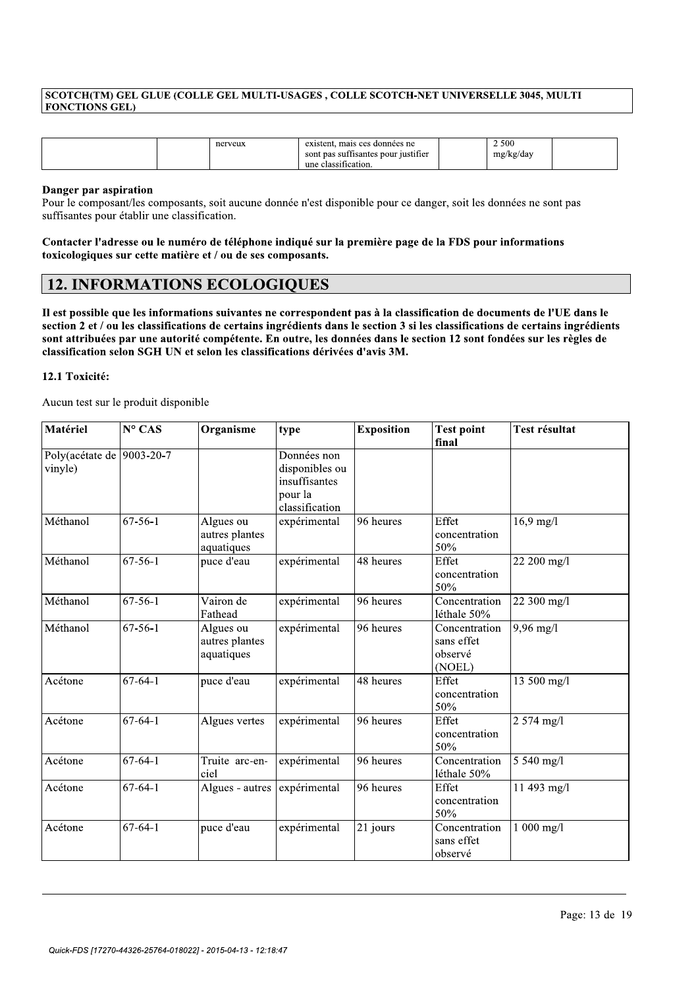|                       |         | SCOTCH(TM) GEL GLUE (COLLE GEL MULTI-USAGES, COLLE SCOTCH-NET UNIVERSELLE 3045, MULTI |                    |  |
|-----------------------|---------|---------------------------------------------------------------------------------------|--------------------|--|
| <b>FONCTIONS GEL)</b> |         |                                                                                       |                    |  |
|                       |         |                                                                                       |                    |  |
|                       |         |                                                                                       |                    |  |
|                       | nerveux | existent, mais ces données ne<br>sont pas suffisantes pour justifier                  | 2 500<br>mg/kg/day |  |

# Danger par aspiration

|                                                                       |               | nerveux                                                                                                                                                                                                                                                                                     | une classification.                                                         | existent, mais ces données ne<br>sont pas suffisantes pour justifier |                                                  | 2500<br>mg/kg/day                                                                                                                                                                                                                                                                                                                                                              |
|-----------------------------------------------------------------------|---------------|---------------------------------------------------------------------------------------------------------------------------------------------------------------------------------------------------------------------------------------------------------------------------------------------|-----------------------------------------------------------------------------|----------------------------------------------------------------------|--------------------------------------------------|--------------------------------------------------------------------------------------------------------------------------------------------------------------------------------------------------------------------------------------------------------------------------------------------------------------------------------------------------------------------------------|
| Danger par aspiration<br>suffisantes pour établir une classification. |               | Pour le composant/les composants, soit aucune donnée n'est disponible pour ce danger, soit les données ne sont pas<br>Contacter l'adresse ou le numéro de téléphone indiqué sur la première page de la FDS pour informations<br>toxicologiques sur cette matière et / ou de ses composants. |                                                                             |                                                                      |                                                  |                                                                                                                                                                                                                                                                                                                                                                                |
|                                                                       |               | <b>12. INFORMATIONS ECOLOGIQUES</b>                                                                                                                                                                                                                                                         |                                                                             |                                                                      |                                                  |                                                                                                                                                                                                                                                                                                                                                                                |
| 12.1 Toxicité:<br>Aucun test sur le produit disponible                |               | classification selon SGH UN et selon les classifications dérivées d'avis 3M.                                                                                                                                                                                                                |                                                                             |                                                                      |                                                  | Il est possible que les informations suivantes ne correspondent pas à la classification de documents de l'UE dans le<br>section 2 et / ou les classifications de certains ingrédients dans le section 3 si les classifications de certains ingrédients<br>sont attribuées par une autorité compétente. En outre, les données dans le section 12 sont fondées sur les règles de |
| Matériel                                                              | N° CAS        | Organisme                                                                                                                                                                                                                                                                                   | type                                                                        | <b>Exposition</b>                                                    | <b>Test point</b><br>final                       | Test résultat                                                                                                                                                                                                                                                                                                                                                                  |
| Poly(acétate de  9003-20-7<br>vinyle)                                 |               |                                                                                                                                                                                                                                                                                             | Données non<br>disponibles ou<br>insuffisantes<br>pour la<br>classification |                                                                      |                                                  |                                                                                                                                                                                                                                                                                                                                                                                |
| Méthanol                                                              | $67 - 56 - 1$ | Algues ou<br>autres plantes<br>aquatiques                                                                                                                                                                                                                                                   | expérimental                                                                | 96 heures                                                            | Effet<br>concentration<br>50%                    | $16,9$ mg/l                                                                                                                                                                                                                                                                                                                                                                    |
| Méthanol                                                              | $67 - 56 - 1$ | puce d'eau                                                                                                                                                                                                                                                                                  | expérimental                                                                | $48$ heures                                                          | Effet<br>concentration<br>50%                    | 22 200 mg/l                                                                                                                                                                                                                                                                                                                                                                    |
| Méthanol                                                              | $67 - 56 - 1$ | Vairon de<br>Fathead                                                                                                                                                                                                                                                                        | expérimental                                                                | 96 heures                                                            | Concentration<br>léthale 50%                     | 22 300 mg/l                                                                                                                                                                                                                                                                                                                                                                    |
| Méthanol                                                              | $67 - 56 - 1$ | Algues ou<br>autres plantes<br>aquatiques                                                                                                                                                                                                                                                   | expérimental                                                                | 96 heures                                                            | Concentration<br>sans effet<br>observé<br>(NOEL) | $9,96$ mg/l                                                                                                                                                                                                                                                                                                                                                                    |
| Acétone                                                               | $67 - 64 - 1$ | puce d'eau                                                                                                                                                                                                                                                                                  | expérimental                                                                | 48 heures                                                            | Effet<br>concentration<br>50%                    | 13 500 mg/l                                                                                                                                                                                                                                                                                                                                                                    |
| Acétone                                                               | $67 - 64 - 1$ | Algues vertes                                                                                                                                                                                                                                                                               | expérimental                                                                | $\overline{96}$ heures                                               | Effet<br>concentration<br>50%                    | $2574$ mg/l                                                                                                                                                                                                                                                                                                                                                                    |
| Acétone                                                               | $67 - 64 - 1$ | Truite arc-en-<br>ciel                                                                                                                                                                                                                                                                      | expérimental                                                                | 96 heures                                                            | Concentration<br>léthale 50%                     | 5 540 mg/l                                                                                                                                                                                                                                                                                                                                                                     |
| Acétone                                                               | $67 - 64 - 1$ | Algues - autres                                                                                                                                                                                                                                                                             | expérimental                                                                | 96 heures                                                            | Effet<br>concentration<br>50%                    | 11 493 mg/l                                                                                                                                                                                                                                                                                                                                                                    |
| Acétone                                                               | $67 - 64 - 1$ | puce d'eau                                                                                                                                                                                                                                                                                  | expérimental                                                                | 21 jours                                                             | Concentration<br>sans effet<br>observé           | $1000$ mg/l                                                                                                                                                                                                                                                                                                                                                                    |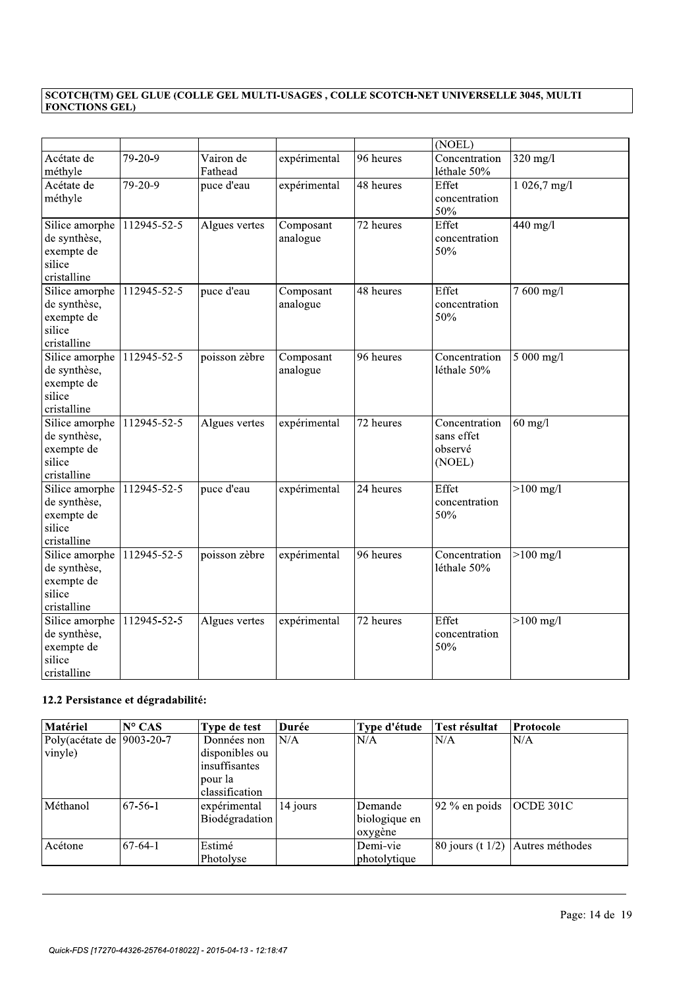|                               |             |                       |              |           | (NOEL)               |              |
|-------------------------------|-------------|-----------------------|--------------|-----------|----------------------|--------------|
| Acétate de                    | 79-20-9     | Vairon de             | expérimental | 96 heures | Concentration        | $320$ mg/l   |
| méthyle<br>Acétate de         | 79-20-9     | Fathead<br>puce d'eau | expérimental | 48 heures | léthale 50%<br>Effet | 1 026,7 mg/l |
| méthyle                       |             |                       |              |           | concentration        |              |
|                               |             |                       |              |           | 50%                  |              |
| Silice amorphe                | 112945-52-5 | Algues vertes         | Composant    | 72 heures | Effet                | 440 mg/l     |
| de synthèse,                  |             |                       | analogue     |           | concentration        |              |
| exempte de                    |             |                       |              |           | 50%                  |              |
| silice                        |             |                       |              |           |                      |              |
| cristalline                   |             |                       |              |           |                      |              |
| Silice amorphe                | 112945-52-5 | puce d'eau            | Composant    | 48 heures | Effet                | 7 600 mg/l   |
| de synthèse,                  |             |                       | analogue     |           | concentration        |              |
| exempte de                    |             |                       |              |           | 50%                  |              |
| silice                        |             |                       |              |           |                      |              |
| cristalline<br>Silice amorphe | 112945-52-5 | poisson zèbre         | Composant    | 96 heures | Concentration        | 5 000 mg/l   |
| de synthèse,                  |             |                       | analogue     |           | léthale 50%          |              |
| exempte de                    |             |                       |              |           |                      |              |
| silice                        |             |                       |              |           |                      |              |
| cristalline                   |             |                       |              |           |                      |              |
| Silice amorphe                | 112945-52-5 | Algues vertes         | expérimental | 72 heures | Concentration        | $60$ mg/l    |
| de synthèse,                  |             |                       |              |           | sans effet           |              |
| exempte de                    |             |                       |              |           | observé              |              |
| silice                        |             |                       |              |           | (NOEL)               |              |
| cristalline                   |             |                       |              |           |                      |              |
| Silice amorphe                | 112945-52-5 | puce d'eau            | expérimental | 24 heures | Effet                | $>100$ mg/l  |
| de synthèse,                  |             |                       |              |           | concentration        |              |
| exempte de                    |             |                       |              |           | 50%                  |              |
| silice<br>cristalline         |             |                       |              |           |                      |              |
| Silice amorphe                | 112945-52-5 | poisson zèbre         | expérimental | 96 heures | Concentration        | $>100$ mg/l  |
| de synthèse,                  |             |                       |              |           | léthale 50%          |              |
| exempte de                    |             |                       |              |           |                      |              |
| silice                        |             |                       |              |           |                      |              |
| cristalline                   |             |                       |              |           |                      |              |
| Silice amorphe                | 112945-52-5 | Algues vertes         | expérimental | 72 heures | Effet                | $>100$ mg/l  |
| de synthèse,                  |             |                       |              |           | concentration        |              |
| exempte de                    |             |                       |              |           | 50%                  |              |
| silice                        |             |                       |              |           |                      |              |
| cristalline                   |             |                       |              |           |                      |              |

| Silice amorphe<br>de synthèse,<br>exempte de<br>silice<br>cristalline | 112945-52-5     | Algues vertes                                                               | expérimental | 72 heures                           | Effet<br>concentration<br>50% | $>100$ mg/l      |
|-----------------------------------------------------------------------|-----------------|-----------------------------------------------------------------------------|--------------|-------------------------------------|-------------------------------|------------------|
| 12.2 Persistance et dégradabilité:<br>Matériel                        | $N^{\circ}$ CAS | Type de test                                                                | Durée        | Type d'étude                        | Test résultat                 | <b>Protocole</b> |
| Poly(acétate de  9003-20-7<br>vinyle)                                 |                 | Données non<br>disponibles ou<br>insuffisantes<br>pour la<br>classification | N/A          | N/A                                 | N/A                           | N/A              |
| Méthanol                                                              | $67-56-1$       | expérimental<br>Biodégradation                                              | 14 jours     | Demande<br>biologique en<br>oxygène | 92 % en poids                 | OCDE 301C        |
| Acétone                                                               | $67-64-1$       | Estimé<br>Photolyse                                                         |              | Demi-vie<br>photolytique            | 80 jours (t $1/2$ )           | Autres méthodes  |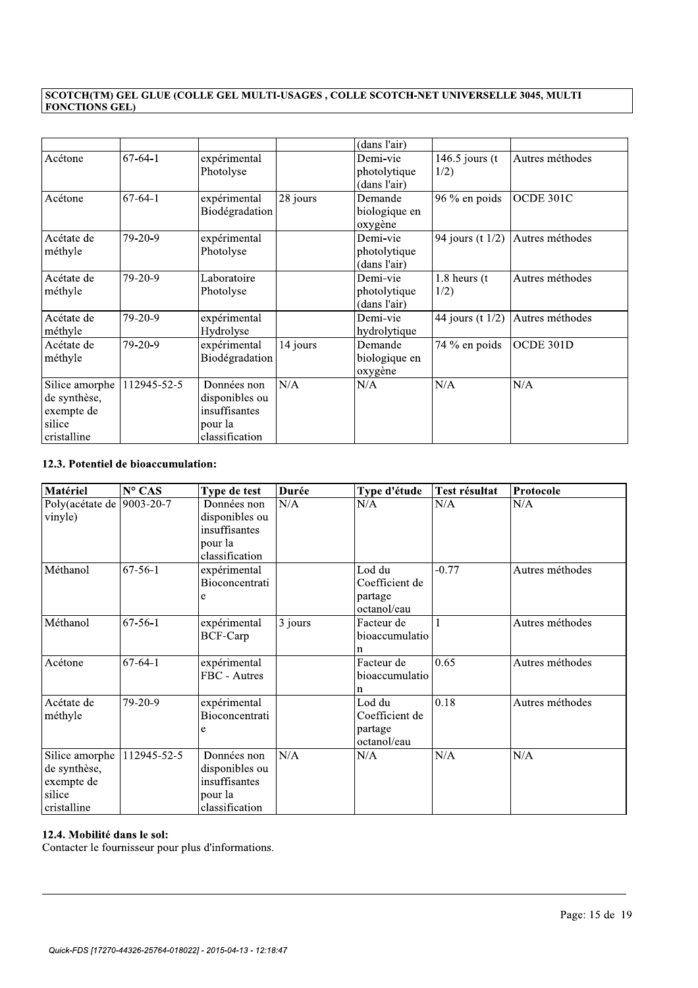|                |             |                |          | (dans l'air)  |                   |                 |
|----------------|-------------|----------------|----------|---------------|-------------------|-----------------|
| Acétone        | $67-64-1$   | expérimental   |          | Demi-vie      | 146.5 jours $(t)$ | Autres méthodes |
|                |             | Photolyse      |          | photolytique  | 1/2)              |                 |
|                |             |                |          | (dans l'air)  |                   |                 |
| Acétone        | $67-64-1$   | expérimental   | 28 jours | Demande       | 96 % en poids     | OCDE 301C       |
|                |             | Biodégradation |          | biologique en |                   |                 |
|                |             |                |          | oxygène       |                   |                 |
| Acétate de     | $79-20-9$   | expérimental   |          | Demi-vie      | 94 jours (t 1/2)  | Autres méthodes |
| méthyle        |             | Photolyse      |          | photolytique  |                   |                 |
|                |             |                |          | (dans l'air)  |                   |                 |
| Acétate de     | $79-20-9$   | Laboratoire    |          | Demi-vie      | 1.8 heurs (t      | Autres méthodes |
| méthyle        |             | Photolyse      |          | photolytique  | 1/2)              |                 |
|                |             |                |          | (dans l'air)  |                   |                 |
| Acétate de     | 79-20-9     | expérimental   |          | Demi-vie      | 44 jours (t 1/2)  | Autres méthodes |
| méthyle        |             | Hydrolyse      |          | hydrolytique  |                   |                 |
| Acétate de     | 79-20-9     | expérimental   | 14 jours | Demande       | 74 % en poids     | OCDE 301D       |
| méthyle        |             | Biodégradation |          | biologique en |                   |                 |
|                |             |                |          | oxygène       |                   |                 |
| Silice amorphe | 112945-52-5 | Données non    | N/A      | N/A           | N/A               | N/A             |
| de synthèse,   |             | disponibles ou |          |               |                   |                 |
| exempte de     |             | insuffisantes  |          |               |                   |                 |
| silice         |             | pour la        |          |               |                   |                 |
| cristalline    |             | classification |          |               |                   |                 |

| Silice amorphe                      | 112945-52-5     | Données non     | N/A     | N/A            | N/A           | N/A             |
|-------------------------------------|-----------------|-----------------|---------|----------------|---------------|-----------------|
| de synthèse,                        |                 | disponibles ou  |         |                |               |                 |
| exempte de                          |                 | insuffisantes   |         |                |               |                 |
| silice                              |                 | pour la         |         |                |               |                 |
| cristalline                         |                 | classification  |         |                |               |                 |
| 12.3. Potentiel de bioaccumulation: |                 |                 |         |                |               |                 |
| Matériel                            | $N^{\circ}$ CAS | Type de test    | Durée   | Type d'étude   | Test résultat | Protocole       |
| Poly(acétate de 9003-20-7           |                 | Données non     | N/A     | N/A            | N/A           | N/A             |
| vinyle)                             |                 | disponibles ou  |         |                |               |                 |
|                                     |                 | insuffisantes   |         |                |               |                 |
|                                     |                 | pour la         |         |                |               |                 |
|                                     |                 | classification  |         |                |               |                 |
| Méthanol                            | $67 - 56 - 1$   | expérimental    |         | Lod du         | $-0.77$       | Autres méthodes |
|                                     |                 | Bioconcentrati  |         | Coefficient de |               |                 |
|                                     |                 | e               |         | partage        |               |                 |
|                                     |                 |                 |         | octanol/eau    |               |                 |
| Méthanol                            | $67-56-1$       | expérimental    | 3 jours | Facteur de     | 1             | Autres méthodes |
|                                     |                 | <b>BCF-Carp</b> |         | bioaccumulatio |               |                 |
|                                     |                 |                 |         | n              |               |                 |
| Acétone                             | $67-64-1$       | expérimental    |         | Facteur de     | 0.65          | Autres méthodes |
|                                     |                 | FBC - Autres    |         | bioaccumulatio |               |                 |
|                                     |                 |                 |         | $\mathbf n$    |               |                 |
| Acétate de                          | 79-20-9         | expérimental    |         | Lod du         | 0.18          | Autres méthodes |
| méthyle                             |                 | Bioconcentrati  |         | Coefficient de |               |                 |
|                                     |                 | e               |         | partage        |               |                 |
|                                     |                 |                 |         | octanol/eau    |               |                 |
| Silice amorphe                      | 112945-52-5     | Données non     | N/A     | N/A            | N/A           | N/A             |
| de synthèse,                        |                 | disponibles ou  |         |                |               |                 |
| exempte de                          |                 | insuffisantes   |         |                |               |                 |
| silice                              |                 | pour la         |         |                |               |                 |
| cristalline                         |                 | classification  |         |                |               |                 |

//////////////////////////////////////////////////////////////////////////////////////////

# 12.4. Mobilité dans le sol:

Contacter le fournisseur pour plus d'informations.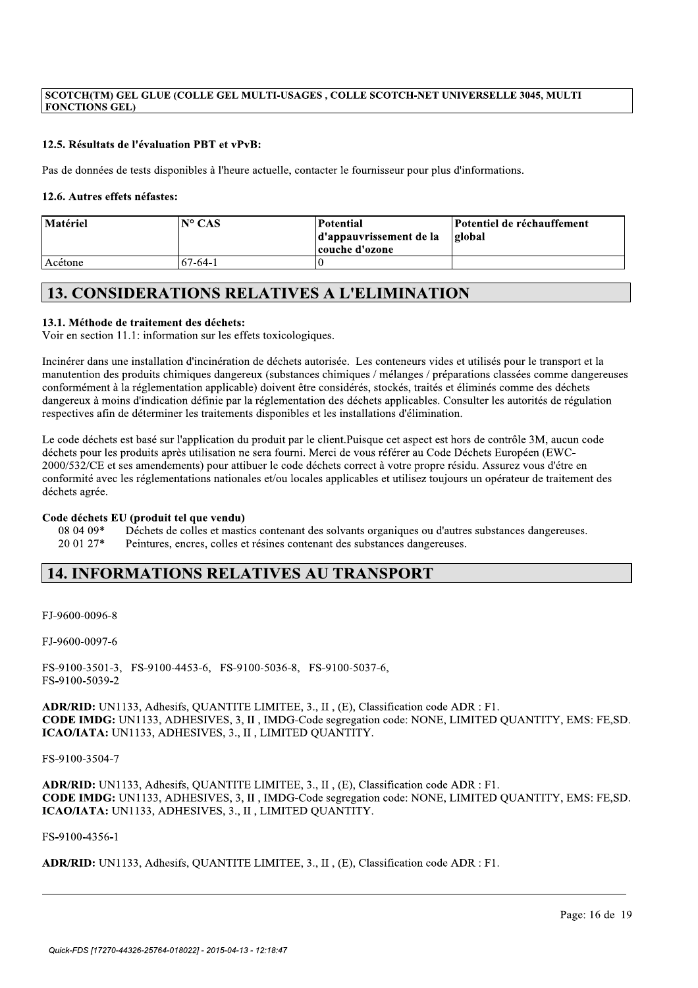# 12.5. Résultats de l'évaluation PBT et vPvB:

Pas de données de tests disponibles à l'heure actuelle, contacter le fournisseur pour plus d'informations.

# 12.6. Autres effets néfastes:

| Matériel | $N^{\circ}$ CAS | Potential<br>d'appauvrissement de la<br>couche d'ozone | Potentiel de réchauffement<br><b>global</b> |
|----------|-----------------|--------------------------------------------------------|---------------------------------------------|
| Acétone  | $67-64-1$       |                                                        |                                             |

# **13. CONSIDERATIONS RELATIVES A L'ELIMINATION**

# 13.1. Méthode de traitement des déchets:

Voir en section 11.1: information sur les effets toxicologiques.

Incinérer dans une installation d'incinération de déchets autorisée. Les conteneurs vides et utilisés pour le transport et la manutention des produits chimiques dangereux (substances chimiques / mélanges / préparations classées comme dangereuses conformément à la réglementation applicable) doivent être considérés, stockés, traités et éliminés comme des déchets dangereux à moins d'indication définie par la réglementation des déchets applicables. Consulter les autorités de régulation respectives afin de déterminer les traitements disponibles et les installations d'élimination.

Le code déchets est basé sur l'application du produit par le client.Puisque cet aspect est hors de contrôle 3M, aucun code déchets pour les produits après utilisation ne sera fourni. Merci de vous référer au Code Déchets Européen (EWC-2000/532/CE et ses amendements) pour attibuer le code déchets correct à votre propre résidu. Assurez vous d'étre en conformité avec les réglementations nationales et/ou locales applicables et utilisez toujours un opérateur de traitement des déchets agrée.

# Code déchets EU (produit tel que vendu)

08 04 09\* Déchets de colles et mastics contenant des solvants organiques ou d'autres substances dangereuses. 20 01 27\* Peintures, encres, colles et résines contenant des substances dangereuses.

# **14. INFORMATIONS RELATIVES AU TRANSPORT**

FJ-9600-0096-8

FJ-9600-0097-6

FS-9100-3501-3, FS-9100-4453-6, FS-9100-5036-8, FS-9100-5037-6, FS-9100-5039-2

ADR/RID: UN1133, Adhesifs, QUANTITE LIMITEE, 3., II, (E), Classification code ADR : F1. CODE IMDG: UN1133, ADHESIVES, 3, II, IMDG-Code segregation code: NONE, LIMITED QUANTITY, EMS: FE,SD. ICAO/IATA: UN1133, ADHESIVES, 3., II, LIMITED QUANTITY.

# FS-9100-3504-7

ADR/RID: UN1133, Adhesifs, QUANTITE LIMITEE, 3., II, (E), Classification code ADR : F1. CODE IMDG: UN1133, ADHESIVES, 3, II, IMDG-Code segregation code: NONE, LIMITED OUANTITY, EMS: FE, SD. ICAO/IATA: UN1133, ADHESIVES, 3., II, LIMITED QUANTITY.

# FS-9100-4356-1

ADR/RID: UN1133, Adhesifs, OUANTITE LIMITEE, 3., II, (E), Classification code ADR : F1.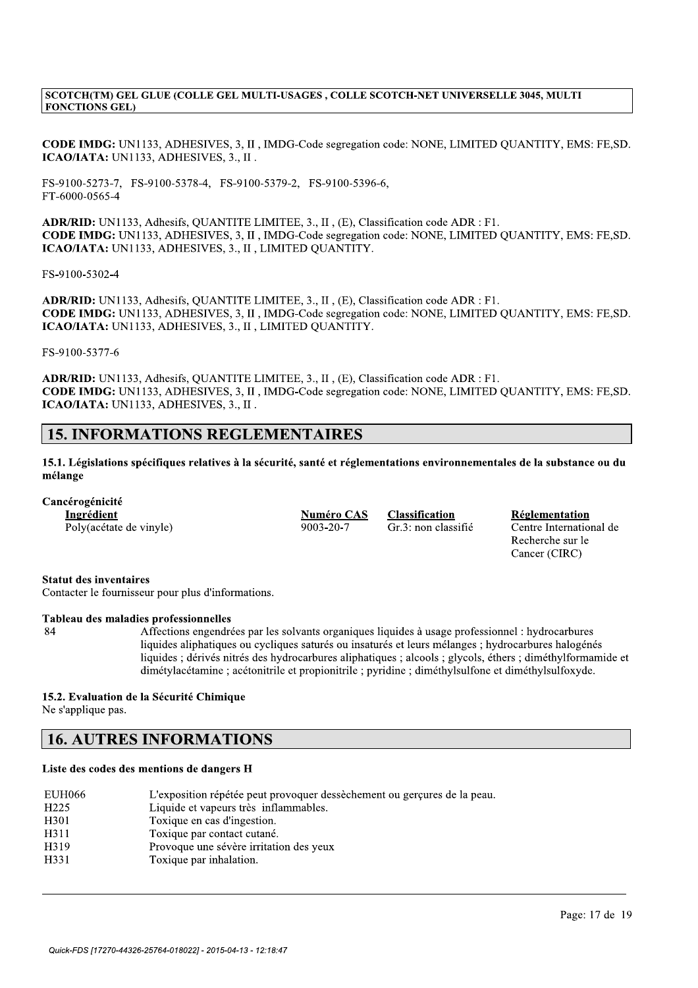SCOTCH(TM) GEL GLUE (COLLE GEL MULTI-USAGES , COLLE SCOTCH-NET UNIVERSELLE 3045, MULTI<br>
FONCTIONS GEL)<br>
CODE IMDG: UN1133, ADHESIVES, 3, II , IMDG-Code segregation code: NONE, LIMITED QUANTITY, EMS:<br>
ICAO/IATA: UN1133, ADH CODE IMDG: UN1133, ADHESIVES, 3, II, IMDG-Code segregation code: NONE, LIMITED QUANTITY, EMS: FE,SD. ICAO/IATA: UN1133, ADHESIVES, 3., II.

FS-9100-5273-7, FS-9100-5378-4, FS-9100-5379-2, FS-9100-5396-6, FT-6000-0565-4

ADR/RID: UN1133, Adhesifs, QUANTITE LIMITEE, 3., II, (E), Classification code ADR : F1. CODE IMDG: UN1133, ADHESIVES, 3, II, IMDG-Code segregation code: NONE, LIMITED QUANTITY, EMS: FE, SD. ICAO/IATA: UN1133, ADHESIVES, 3., II, LIMITED QUANTITY.

FS-9100-5302-4

 $\Delta$ DR/RID: UN1133, Adhesifs, QUANTITE LIMITEE, 3., II, (E), Classification code ADR : F1. CODE IMDG: UN1133, ADHESIVES, 3, II, IMDG-Code segregation code: NONE, LIMITED QUANTITY, EMS: FE, SD. ICAO/IATA: UN1133, ADHESIVES, 3., II, LIMITED QUANTITY. ADR/RID: UN1133, Adhesifs, QUANTITE LIMITER, 3., II , (F), Classification code ADR : F1.<br>
CODE MDGG UNI133, ADHESIVES, 3, II , IMOG-Code segregation code: NONE, LIMITED QUANTITY, EMS: FE,SD.<br>
ICAO/IATA: UN1133, ADHESIVES,

FS-9100-5377-6

ADR/RID: UN1133, Adhesifs, QUANTITE LIMITEE, 3., II, (E), Classification code ADR : F1. CODE IMDG: UN1133, ADHESIVES, 3, II, IMDG-Code segregation code: NONE, LIMITED QUANTITY, EMS: FE,SD. ICAO/IATA: UN1133, ADHESIVES, 3., II.

//////////////////////////////////////////////////////////////////////////////////////////

liquides aliphatiques ou cycliques saturés ou insaturés et leurs mélanges ; hydrocarbures halogénés liquides ; dérivés nitrés des hydrocarbures aliphatiques ; alcools ; glycols, éthers ; diméthylformamide et dimétylacétamine ; acétonitrile et propionitrile ; pyridine ; diméthylsulfone et diméthylsulfoxyde.

# 15.2. Evaluation de la Sécurité Chimique<br>Ne s'applique pas.

|                    | Tableau des maladies professionnelles                                                                                                                                                                                                                                                                                                   |
|--------------------|-----------------------------------------------------------------------------------------------------------------------------------------------------------------------------------------------------------------------------------------------------------------------------------------------------------------------------------------|
| 84                 | Affections engendrées par les solvants organiques liquides à usage profession<br>liquides aliphatiques ou cycliques saturés ou insaturés et leurs mélanges ; hyd<br>liquides; dérivés nitrés des hydrocarbures aliphatiques; alcools; glycols, éthe<br>dimétylacétamine ; acétonitrile et propionitrile ; pyridine ; diméthylsulfone et |
|                    | 15.2. Evaluation de la Sécurité Chimique                                                                                                                                                                                                                                                                                                |
| Ne s'applique pas. |                                                                                                                                                                                                                                                                                                                                         |
|                    | <b>16. AUTRES INFORMATIONS</b>                                                                                                                                                                                                                                                                                                          |
|                    | Liste des codes des mentions de dangers H                                                                                                                                                                                                                                                                                               |
| <b>EUH066</b>      |                                                                                                                                                                                                                                                                                                                                         |
| H <sub>225</sub>   | L'exposition répétée peut provoquer dessèchement ou gerçures de la peau.<br>Liquide et vapeurs très inflammables.                                                                                                                                                                                                                       |
| H <sub>301</sub>   | Toxique en cas d'ingestion.                                                                                                                                                                                                                                                                                                             |
| H311               |                                                                                                                                                                                                                                                                                                                                         |
| H319               | Toxique par contact cutané.<br>Provoque une sévère irritation des yeux                                                                                                                                                                                                                                                                  |